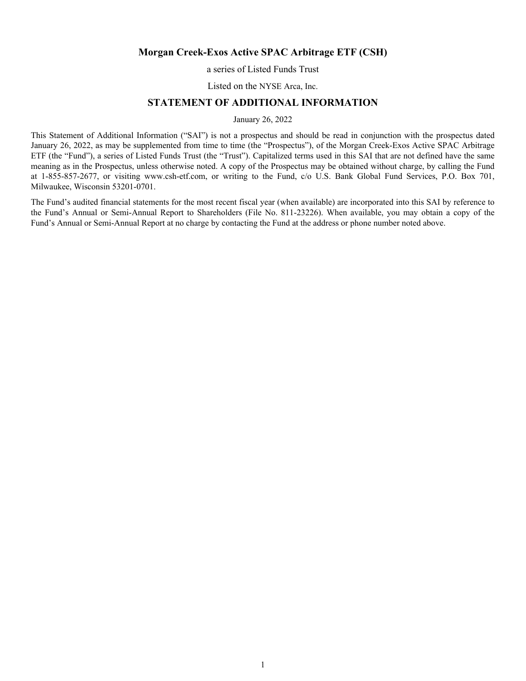# **Morgan Creek-Exos Active SPAC Arbitrage ETF (CSH)**

a series of Listed Funds Trust

Listed on the NYSE Arca, Inc.

# **STATEMENT OF ADDITIONAL INFORMATION**

January 26, 2022

This Statement of Additional Information ("SAI") is not a prospectus and should be read in conjunction with the prospectus dated January 26, 2022, as may be supplemented from time to time (the "Prospectus"), of the Morgan Creek-Exos Active SPAC Arbitrage ETF (the "Fund"), a series of Listed Funds Trust (the "Trust"). Capitalized terms used in this SAI that are not defined have the same meaning as in the Prospectus, unless otherwise noted. A copy of the Prospectus may be obtained without charge, by calling the Fund at 1-855-857-2677, or visiting www.csh-etf.com, or writing to the Fund, c/o U.S. Bank Global Fund Services, P.O. Box 701, Milwaukee, Wisconsin 53201-0701.

The Fund's audited financial statements for the most recent fiscal year (when available) are incorporated into this SAI by reference to the Fund's Annual or Semi-Annual Report to Shareholders (File No. 811-23226). When available, you may obtain a copy of the Fund's Annual or Semi-Annual Report at no charge by contacting the Fund at the address or phone number noted above.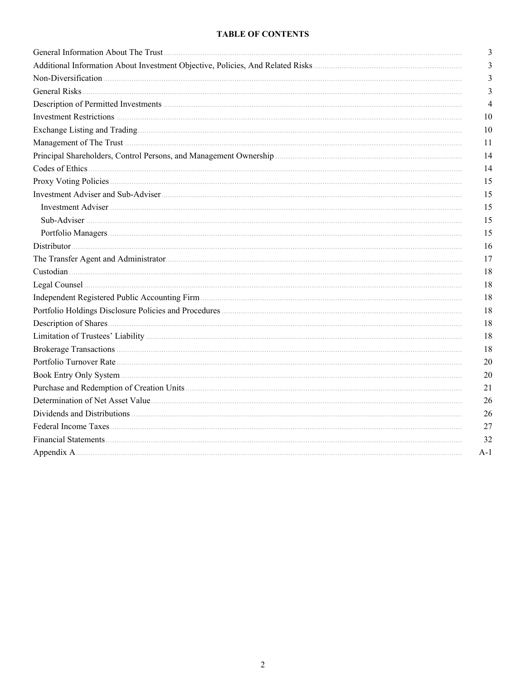# **TABLE OF CONTENTS**

| 3              |
|----------------|
| 3              |
| 3              |
| 3              |
| $\overline{4}$ |
| 10             |
| 10             |
| 11             |
| 14             |
| 14             |
| 15             |
| 15             |
| 15             |
| 15             |
| 15             |
| 16             |
| 17             |
| 18             |
| 18             |
| 18             |
| 18             |
| 18             |
| 18             |
| 18             |
| 20             |
| 20             |
| 21             |
| 26             |
| 26             |
| 27             |
| 32             |
| $A-1$          |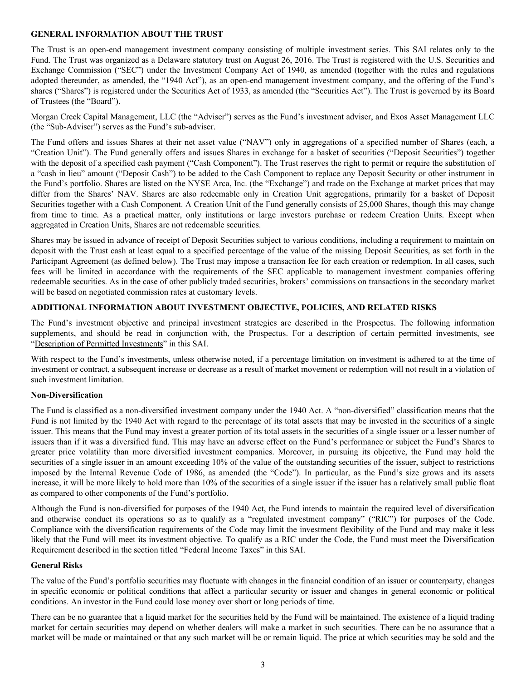### <span id="page-2-0"></span>**GENERAL INFORMATION ABOUT THE TRUST**

The Trust is an open-end management investment company consisting of multiple investment series. This SAI relates only to the Fund. The Trust was organized as a Delaware statutory trust on August 26, 2016. The Trust is registered with the U.S. Securities and Exchange Commission ("SEC") under the Investment Company Act of 1940, as amended (together with the rules and regulations adopted thereunder, as amended, the "1940 Act"), as an open-end management investment company, and the offering of the Fund's shares ("Shares") is registered under the Securities Act of 1933, as amended (the "Securities Act"). The Trust is governed by its Board of Trustees (the "Board").

Morgan Creek Capital Management, LLC (the "Adviser") serves as the Fund's investment adviser, and Exos Asset Management LLC (the "Sub-Adviser") serves as the Fund's sub-adviser.

The Fund offers and issues Shares at their net asset value ("NAV") only in aggregations of a specified number of Shares (each, a "Creation Unit"). The Fund generally offers and issues Shares in exchange for a basket of securities ("Deposit Securities") together with the deposit of a specified cash payment ("Cash Component"). The Trust reserves the right to permit or require the substitution of a "cash in lieu" amount ("Deposit Cash") to be added to the Cash Component to replace any Deposit Security or other instrument in the Fund's portfolio. Shares are listed on the NYSE Arca, Inc. (the "Exchange") and trade on the Exchange at market prices that may differ from the Shares' NAV. Shares are also redeemable only in Creation Unit aggregations, primarily for a basket of Deposit Securities together with a Cash Component. A Creation Unit of the Fund generally consists of 25,000 Shares, though this may change from time to time. As a practical matter, only institutions or large investors purchase or redeem Creation Units. Except when aggregated in Creation Units, Shares are not redeemable securities.

Shares may be issued in advance of receipt of Deposit Securities subject to various conditions, including a requirement to maintain on deposit with the Trust cash at least equal to a specified percentage of the value of the missing Deposit Securities, as set forth in the Participant Agreement (as defined below). The Trust may impose a transaction fee for each creation or redemption. In all cases, such fees will be limited in accordance with the requirements of the SEC applicable to management investment companies offering redeemable securities. As in the case of other publicly traded securities, brokers' commissions on transactions in the secondary market will be based on negotiated commission rates at customary levels.

# **ADDITIONAL INFORMATION ABOUT INVESTMENT OBJECTIVE, POLICIES, AND RELATED RISKS**

The Fund's investment objective and principal investment strategies are described in the Prospectus. The following information supplements, and should be read in conjunction with, the Prospectus. For a description of certain permitted investments, see "Description of Permitted Investments" in this SAI.

With respect to the Fund's investments, unless otherwise noted, if a percentage limitation on investment is adhered to at the time of investment or contract, a subsequent increase or decrease as a result of market movement or redemption will not result in a violation of such investment limitation.

# **Non-Diversification**

The Fund is classified as a non-diversified investment company under the 1940 Act. A "non-diversified" classification means that the Fund is not limited by the 1940 Act with regard to the percentage of its total assets that may be invested in the securities of a single issuer. This means that the Fund may invest a greater portion of its total assets in the securities of a single issuer or a lesser number of issuers than if it was a diversified fund. This may have an adverse effect on the Fund's performance or subject the Fund's Shares to greater price volatility than more diversified investment companies. Moreover, in pursuing its objective, the Fund may hold the securities of a single issuer in an amount exceeding 10% of the value of the outstanding securities of the issuer, subject to restrictions imposed by the Internal Revenue Code of 1986, as amended (the "Code"). In particular, as the Fund's size grows and its assets increase, it will be more likely to hold more than 10% of the securities of a single issuer if the issuer has a relatively small public float as compared to other components of the Fund's portfolio.

Although the Fund is non-diversified for purposes of the 1940 Act, the Fund intends to maintain the required level of diversification and otherwise conduct its operations so as to qualify as a "regulated investment company" ("RIC") for purposes of the Code. Compliance with the diversification requirements of the Code may limit the investment flexibility of the Fund and may make it less likely that the Fund will meet its investment objective. To qualify as a RIC under the Code, the Fund must meet the Diversification Requirement described in the section titled "Federal Income Taxes" in this SAI.

#### **General Risks**

The value of the Fund's portfolio securities may fluctuate with changes in the financial condition of an issuer or counterparty, changes in specific economic or political conditions that affect a particular security or issuer and changes in general economic or political conditions. An investor in the Fund could lose money over short or long periods of time.

There can be no guarantee that a liquid market for the securities held by the Fund will be maintained. The existence of a liquid trading market for certain securities may depend on whether dealers will make a market in such securities. There can be no assurance that a market will be made or maintained or that any such market will be or remain liquid. The price at which securities may be sold and the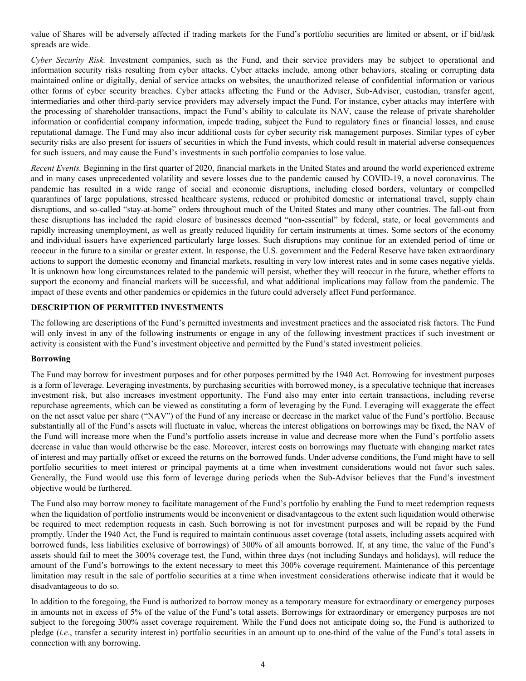<span id="page-3-0"></span>value of Shares will be adversely affected if trading markets for the Fund's portfolio securities are limited or absent, or if bid/ask spreads are wide.

*Cyber Security Risk.* Investment companies, such as the Fund, and their service providers may be subject to operational and information security risks resulting from cyber attacks. Cyber attacks include, among other behaviors, stealing or corrupting data maintained online or digitally, denial of service attacks on websites, the unauthorized release of confidential information or various other forms of cyber security breaches. Cyber attacks affecting the Fund or the Adviser, Sub-Adviser, custodian, transfer agent, intermediaries and other third-party service providers may adversely impact the Fund. For instance, cyber attacks may interfere with the processing of shareholder transactions, impact the Fund's ability to calculate its NAV, cause the release of private shareholder information or confidential company information, impede trading, subject the Fund to regulatory fines or financial losses, and cause reputational damage. The Fund may also incur additional costs for cyber security risk management purposes. Similar types of cyber security risks are also present for issuers of securities in which the Fund invests, which could result in material adverse consequences for such issuers, and may cause the Fund's investments in such portfolio companies to lose value.

*Recent Events.* Beginning in the first quarter of 2020, financial markets in the United States and around the world experienced extreme and in many cases unprecedented volatility and severe losses due to the pandemic caused by COVID-19, a novel coronavirus. The pandemic has resulted in a wide range of social and economic disruptions, including closed borders, voluntary or compelled quarantines of large populations, stressed healthcare systems, reduced or prohibited domestic or international travel, supply chain disruptions, and so-called "stay-at-home" orders throughout much of the United States and many other countries. The fall-out from these disruptions has included the rapid closure of businesses deemed "non-essential" by federal, state, or local governments and rapidly increasing unemployment, as well as greatly reduced liquidity for certain instruments at times. Some sectors of the economy and individual issuers have experienced particularly large losses. Such disruptions may continue for an extended period of time or reoccur in the future to a similar or greater extent. In response, the U.S. government and the Federal Reserve have taken extraordinary actions to support the domestic economy and financial markets, resulting in very low interest rates and in some cases negative yields. It is unknown how long circumstances related to the pandemic will persist, whether they will reoccur in the future, whether efforts to support the economy and financial markets will be successful, and what additional implications may follow from the pandemic. The impact of these events and other pandemics or epidemics in the future could adversely affect Fund performance.

# **DESCRIPTION OF PERMITTED INVESTMENTS**

The following are descriptions of the Fund's permitted investments and investment practices and the associated risk factors. The Fund will only invest in any of the following instruments or engage in any of the following investment practices if such investment or activity is consistent with the Fund's investment objective and permitted by the Fund's stated investment policies.

# **Borrowing**

The Fund may borrow for investment purposes and for other purposes permitted by the 1940 Act. Borrowing for investment purposes is a form of leverage. Leveraging investments, by purchasing securities with borrowed money, is a speculative technique that increases investment risk, but also increases investment opportunity. The Fund also may enter into certain transactions, including reverse repurchase agreements, which can be viewed as constituting a form of leveraging by the Fund. Leveraging will exaggerate the effect on the net asset value per share ("NAV") of the Fund of any increase or decrease in the market value of the Fund's portfolio. Because substantially all of the Fund's assets will fluctuate in value, whereas the interest obligations on borrowings may be fixed, the NAV of the Fund will increase more when the Fund's portfolio assets increase in value and decrease more when the Fund's portfolio assets decrease in value than would otherwise be the case. Moreover, interest costs on borrowings may fluctuate with changing market rates of interest and may partially offset or exceed the returns on the borrowed funds. Under adverse conditions, the Fund might have to sell portfolio securities to meet interest or principal payments at a time when investment considerations would not favor such sales. Generally, the Fund would use this form of leverage during periods when the Sub-Advisor believes that the Fund's investment objective would be furthered.

The Fund also may borrow money to facilitate management of the Fund's portfolio by enabling the Fund to meet redemption requests when the liquidation of portfolio instruments would be inconvenient or disadvantageous to the extent such liquidation would otherwise be required to meet redemption requests in cash. Such borrowing is not for investment purposes and will be repaid by the Fund promptly. Under the 1940 Act, the Fund is required to maintain continuous asset coverage (total assets, including assets acquired with borrowed funds, less liabilities exclusive of borrowings) of 300% of all amounts borrowed. If, at any time, the value of the Fund's assets should fail to meet the 300% coverage test, the Fund, within three days (not including Sundays and holidays), will reduce the amount of the Fund's borrowings to the extent necessary to meet this 300% coverage requirement. Maintenance of this percentage limitation may result in the sale of portfolio securities at a time when investment considerations otherwise indicate that it would be disadvantageous to do so.

In addition to the foregoing, the Fund is authorized to borrow money as a temporary measure for extraordinary or emergency purposes in amounts not in excess of 5% of the value of the Fund's total assets. Borrowings for extraordinary or emergency purposes are not subject to the foregoing 300% asset coverage requirement. While the Fund does not anticipate doing so, the Fund is authorized to pledge (*i.e.*, transfer a security interest in) portfolio securities in an amount up to one-third of the value of the Fund's total assets in connection with any borrowing.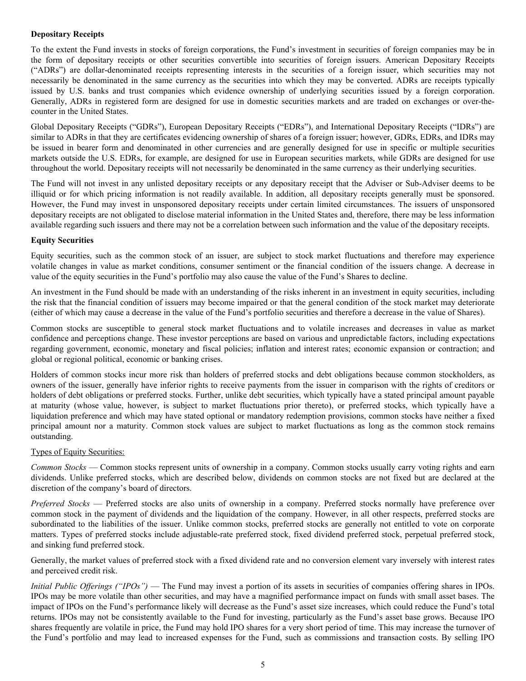# **Depositary Receipts**

To the extent the Fund invests in stocks of foreign corporations, the Fund's investment in securities of foreign companies may be in the form of depositary receipts or other securities convertible into securities of foreign issuers. American Depositary Receipts ("ADRs") are dollar-denominated receipts representing interests in the securities of a foreign issuer, which securities may not necessarily be denominated in the same currency as the securities into which they may be converted. ADRs are receipts typically issued by U.S. banks and trust companies which evidence ownership of underlying securities issued by a foreign corporation. Generally, ADRs in registered form are designed for use in domestic securities markets and are traded on exchanges or over-thecounter in the United States.

Global Depositary Receipts ("GDRs"), European Depositary Receipts ("EDRs"), and International Depositary Receipts ("IDRs") are similar to ADRs in that they are certificates evidencing ownership of shares of a foreign issuer; however, GDRs, EDRs, and IDRs may be issued in bearer form and denominated in other currencies and are generally designed for use in specific or multiple securities markets outside the U.S. EDRs, for example, are designed for use in European securities markets, while GDRs are designed for use throughout the world. Depositary receipts will not necessarily be denominated in the same currency as their underlying securities.

The Fund will not invest in any unlisted depositary receipts or any depositary receipt that the Adviser or Sub-Adviser deems to be illiquid or for which pricing information is not readily available. In addition, all depositary receipts generally must be sponsored. However, the Fund may invest in unsponsored depositary receipts under certain limited circumstances. The issuers of unsponsored depositary receipts are not obligated to disclose material information in the United States and, therefore, there may be less information available regarding such issuers and there may not be a correlation between such information and the value of the depositary receipts.

# **Equity Securities**

Equity securities, such as the common stock of an issuer, are subject to stock market fluctuations and therefore may experience volatile changes in value as market conditions, consumer sentiment or the financial condition of the issuers change. A decrease in value of the equity securities in the Fund's portfolio may also cause the value of the Fund's Shares to decline.

An investment in the Fund should be made with an understanding of the risks inherent in an investment in equity securities, including the risk that the financial condition of issuers may become impaired or that the general condition of the stock market may deteriorate (either of which may cause a decrease in the value of the Fund's portfolio securities and therefore a decrease in the value of Shares).

Common stocks are susceptible to general stock market fluctuations and to volatile increases and decreases in value as market confidence and perceptions change. These investor perceptions are based on various and unpredictable factors, including expectations regarding government, economic, monetary and fiscal policies; inflation and interest rates; economic expansion or contraction; and global or regional political, economic or banking crises.

Holders of common stocks incur more risk than holders of preferred stocks and debt obligations because common stockholders, as owners of the issuer, generally have inferior rights to receive payments from the issuer in comparison with the rights of creditors or holders of debt obligations or preferred stocks. Further, unlike debt securities, which typically have a stated principal amount payable at maturity (whose value, however, is subject to market fluctuations prior thereto), or preferred stocks, which typically have a liquidation preference and which may have stated optional or mandatory redemption provisions, common stocks have neither a fixed principal amount nor a maturity. Common stock values are subject to market fluctuations as long as the common stock remains outstanding.

# Types of Equity Securities:

*Common Stocks* — Common stocks represent units of ownership in a company. Common stocks usually carry voting rights and earn dividends. Unlike preferred stocks, which are described below, dividends on common stocks are not fixed but are declared at the discretion of the company's board of directors.

*Preferred Stocks* — Preferred stocks are also units of ownership in a company. Preferred stocks normally have preference over common stock in the payment of dividends and the liquidation of the company. However, in all other respects, preferred stocks are subordinated to the liabilities of the issuer. Unlike common stocks, preferred stocks are generally not entitled to vote on corporate matters. Types of preferred stocks include adjustable-rate preferred stock, fixed dividend preferred stock, perpetual preferred stock, and sinking fund preferred stock.

Generally, the market values of preferred stock with a fixed dividend rate and no conversion element vary inversely with interest rates and perceived credit risk.

*Initial Public Offerings ("IPOs")* — The Fund may invest a portion of its assets in securities of companies offering shares in IPOs. IPOs may be more volatile than other securities, and may have a magnified performance impact on funds with small asset bases. The impact of IPOs on the Fund's performance likely will decrease as the Fund's asset size increases, which could reduce the Fund's total returns. IPOs may not be consistently available to the Fund for investing, particularly as the Fund's asset base grows. Because IPO shares frequently are volatile in price, the Fund may hold IPO shares for a very short period of time. This may increase the turnover of the Fund's portfolio and may lead to increased expenses for the Fund, such as commissions and transaction costs. By selling IPO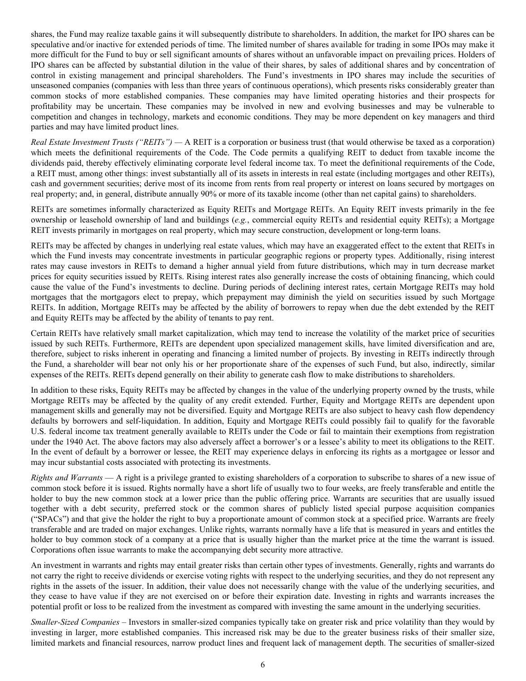shares, the Fund may realize taxable gains it will subsequently distribute to shareholders. In addition, the market for IPO shares can be speculative and/or inactive for extended periods of time. The limited number of shares available for trading in some IPOs may make it more difficult for the Fund to buy or sell significant amounts of shares without an unfavorable impact on prevailing prices. Holders of IPO shares can be affected by substantial dilution in the value of their shares, by sales of additional shares and by concentration of control in existing management and principal shareholders. The Fund's investments in IPO shares may include the securities of unseasoned companies (companies with less than three years of continuous operations), which presents risks considerably greater than common stocks of more established companies. These companies may have limited operating histories and their prospects for profitability may be uncertain. These companies may be involved in new and evolving businesses and may be vulnerable to competition and changes in technology, markets and economic conditions. They may be more dependent on key managers and third parties and may have limited product lines.

*Real Estate Investment Trusts ("REITs") —* A REIT is a corporation or business trust (that would otherwise be taxed as a corporation) which meets the definitional requirements of the Code. The Code permits a qualifying REIT to deduct from taxable income the dividends paid, thereby effectively eliminating corporate level federal income tax. To meet the definitional requirements of the Code, a REIT must, among other things: invest substantially all of its assets in interests in real estate (including mortgages and other REITs), cash and government securities; derive most of its income from rents from real property or interest on loans secured by mortgages on real property; and, in general, distribute annually 90% or more of its taxable income (other than net capital gains) to shareholders.

REITs are sometimes informally characterized as Equity REITs and Mortgage REITs. An Equity REIT invests primarily in the fee ownership or leasehold ownership of land and buildings (*e.g.*, commercial equity REITs and residential equity REITs); a Mortgage REIT invests primarily in mortgages on real property, which may secure construction, development or long-term loans.

REITs may be affected by changes in underlying real estate values, which may have an exaggerated effect to the extent that REITs in which the Fund invests may concentrate investments in particular geographic regions or property types. Additionally, rising interest rates may cause investors in REITs to demand a higher annual yield from future distributions, which may in turn decrease market prices for equity securities issued by REITs. Rising interest rates also generally increase the costs of obtaining financing, which could cause the value of the Fund's investments to decline. During periods of declining interest rates, certain Mortgage REITs may hold mortgages that the mortgagors elect to prepay, which prepayment may diminish the yield on securities issued by such Mortgage REITs. In addition, Mortgage REITs may be affected by the ability of borrowers to repay when due the debt extended by the REIT and Equity REITs may be affected by the ability of tenants to pay rent.

Certain REITs have relatively small market capitalization, which may tend to increase the volatility of the market price of securities issued by such REITs. Furthermore, REITs are dependent upon specialized management skills, have limited diversification and are, therefore, subject to risks inherent in operating and financing a limited number of projects. By investing in REITs indirectly through the Fund, a shareholder will bear not only his or her proportionate share of the expenses of such Fund, but also, indirectly, similar expenses of the REITs. REITs depend generally on their ability to generate cash flow to make distributions to shareholders.

In addition to these risks, Equity REITs may be affected by changes in the value of the underlying property owned by the trusts, while Mortgage REITs may be affected by the quality of any credit extended. Further, Equity and Mortgage REITs are dependent upon management skills and generally may not be diversified. Equity and Mortgage REITs are also subject to heavy cash flow dependency defaults by borrowers and self-liquidation. In addition, Equity and Mortgage REITs could possibly fail to qualify for the favorable U.S. federal income tax treatment generally available to REITs under the Code or fail to maintain their exemptions from registration under the 1940 Act. The above factors may also adversely affect a borrower's or a lessee's ability to meet its obligations to the REIT. In the event of default by a borrower or lessee, the REIT may experience delays in enforcing its rights as a mortgagee or lessor and may incur substantial costs associated with protecting its investments.

*Rights and Warrants* — A right is a privilege granted to existing shareholders of a corporation to subscribe to shares of a new issue of common stock before it is issued. Rights normally have a short life of usually two to four weeks, are freely transferable and entitle the holder to buy the new common stock at a lower price than the public offering price. Warrants are securities that are usually issued together with a debt security, preferred stock or the common shares of publicly listed special purpose acquisition companies ("SPACs") and that give the holder the right to buy a proportionate amount of common stock at a specified price. Warrants are freely transferable and are traded on major exchanges. Unlike rights, warrants normally have a life that is measured in years and entitles the holder to buy common stock of a company at a price that is usually higher than the market price at the time the warrant is issued. Corporations often issue warrants to make the accompanying debt security more attractive.

An investment in warrants and rights may entail greater risks than certain other types of investments. Generally, rights and warrants do not carry the right to receive dividends or exercise voting rights with respect to the underlying securities, and they do not represent any rights in the assets of the issuer. In addition, their value does not necessarily change with the value of the underlying securities, and they cease to have value if they are not exercised on or before their expiration date. Investing in rights and warrants increases the potential profit or loss to be realized from the investment as compared with investing the same amount in the underlying securities.

*Smaller-Sized Companies –* Investors in smaller-sized companies typically take on greater risk and price volatility than they would by investing in larger, more established companies. This increased risk may be due to the greater business risks of their smaller size, limited markets and financial resources, narrow product lines and frequent lack of management depth. The securities of smaller-sized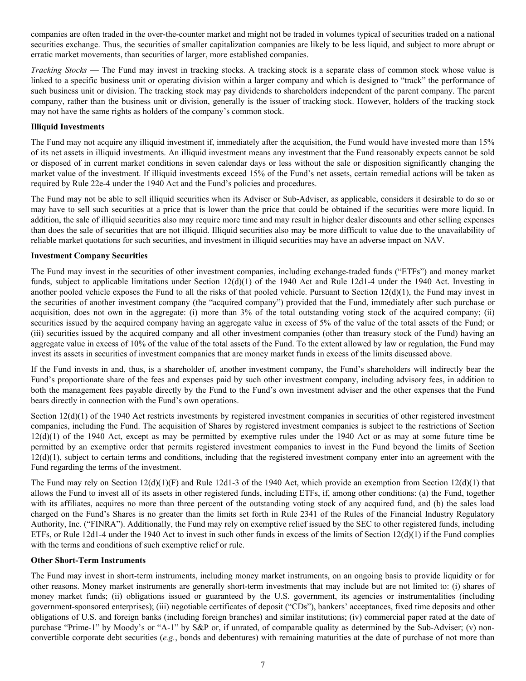companies are often traded in the over-the-counter market and might not be traded in volumes typical of securities traded on a national securities exchange. Thus, the securities of smaller capitalization companies are likely to be less liquid, and subject to more abrupt or erratic market movements, than securities of larger, more established companies.

*Tracking Stocks* — The Fund may invest in tracking stocks. A tracking stock is a separate class of common stock whose value is linked to a specific business unit or operating division within a larger company and which is designed to "track" the performance of such business unit or division. The tracking stock may pay dividends to shareholders independent of the parent company. The parent company, rather than the business unit or division, generally is the issuer of tracking stock. However, holders of the tracking stock may not have the same rights as holders of the company's common stock.

### **Illiquid Investments**

The Fund may not acquire any illiquid investment if, immediately after the acquisition, the Fund would have invested more than 15% of its net assets in illiquid investments. An illiquid investment means any investment that the Fund reasonably expects cannot be sold or disposed of in current market conditions in seven calendar days or less without the sale or disposition significantly changing the market value of the investment. If illiquid investments exceed 15% of the Fund's net assets, certain remedial actions will be taken as required by Rule 22e-4 under the 1940 Act and the Fund's policies and procedures.

The Fund may not be able to sell illiquid securities when its Adviser or Sub-Adviser, as applicable, considers it desirable to do so or may have to sell such securities at a price that is lower than the price that could be obtained if the securities were more liquid. In addition, the sale of illiquid securities also may require more time and may result in higher dealer discounts and other selling expenses than does the sale of securities that are not illiquid. Illiquid securities also may be more difficult to value due to the unavailability of reliable market quotations for such securities, and investment in illiquid securities may have an adverse impact on NAV.

### **Investment Company Securities**

The Fund may invest in the securities of other investment companies, including exchange-traded funds ("ETFs") and money market funds, subject to applicable limitations under Section  $12(d)(1)$  of the 1940 Act and Rule 12d1-4 under the 1940 Act. Investing in another pooled vehicle exposes the Fund to all the risks of that pooled vehicle. Pursuant to Section  $12(d)(1)$ , the Fund may invest in the securities of another investment company (the "acquired company") provided that the Fund, immediately after such purchase or acquisition, does not own in the aggregate: (i) more than 3% of the total outstanding voting stock of the acquired company; (ii) securities issued by the acquired company having an aggregate value in excess of 5% of the value of the total assets of the Fund; or (iii) securities issued by the acquired company and all other investment companies (other than treasury stock of the Fund) having an aggregate value in excess of 10% of the value of the total assets of the Fund. To the extent allowed by law or regulation, the Fund may invest its assets in securities of investment companies that are money market funds in excess of the limits discussed above.

If the Fund invests in and, thus, is a shareholder of, another investment company, the Fund's shareholders will indirectly bear the Fund's proportionate share of the fees and expenses paid by such other investment company, including advisory fees, in addition to both the management fees payable directly by the Fund to the Fund's own investment adviser and the other expenses that the Fund bears directly in connection with the Fund's own operations.

Section 12(d)(1) of the 1940 Act restricts investments by registered investment companies in securities of other registered investment companies, including the Fund. The acquisition of Shares by registered investment companies is subject to the restrictions of Section  $12(d)(1)$  of the 1940 Act, except as may be permitted by exemptive rules under the 1940 Act or as may at some future time be permitted by an exemptive order that permits registered investment companies to invest in the Fund beyond the limits of Section  $12(d)(1)$ , subject to certain terms and conditions, including that the registered investment company enter into an agreement with the Fund regarding the terms of the investment.

The Fund may rely on Section  $12(d)(1)(F)$  and Rule 12d1-3 of the 1940 Act, which provide an exemption from Section  $12(d)(1)$  that allows the Fund to invest all of its assets in other registered funds, including ETFs, if, among other conditions: (a) the Fund, together with its affiliates, acquires no more than three percent of the outstanding voting stock of any acquired fund, and (b) the sales load charged on the Fund's Shares is no greater than the limits set forth in Rule 2341 of the Rules of the Financial Industry Regulatory Authority, Inc. ("FINRA"). Additionally, the Fund may rely on exemptive relief issued by the SEC to other registered funds, including ETFs, or Rule 12d1-4 under the 1940 Act to invest in such other funds in excess of the limits of Section  $12(d)(1)$  if the Fund complies with the terms and conditions of such exemptive relief or rule.

# **Other Short-Term Instruments**

The Fund may invest in short-term instruments, including money market instruments, on an ongoing basis to provide liquidity or for other reasons. Money market instruments are generally short-term investments that may include but are not limited to: (i) shares of money market funds; (ii) obligations issued or guaranteed by the U.S. government, its agencies or instrumentalities (including government-sponsored enterprises); (iii) negotiable certificates of deposit ("CDs"), bankers' acceptances, fixed time deposits and other obligations of U.S. and foreign banks (including foreign branches) and similar institutions; (iv) commercial paper rated at the date of purchase "Prime-1" by Moody's or "A-1" by S&P or, if unrated, of comparable quality as determined by the Sub-Adviser; (v) nonconvertible corporate debt securities (*e.g.*, bonds and debentures) with remaining maturities at the date of purchase of not more than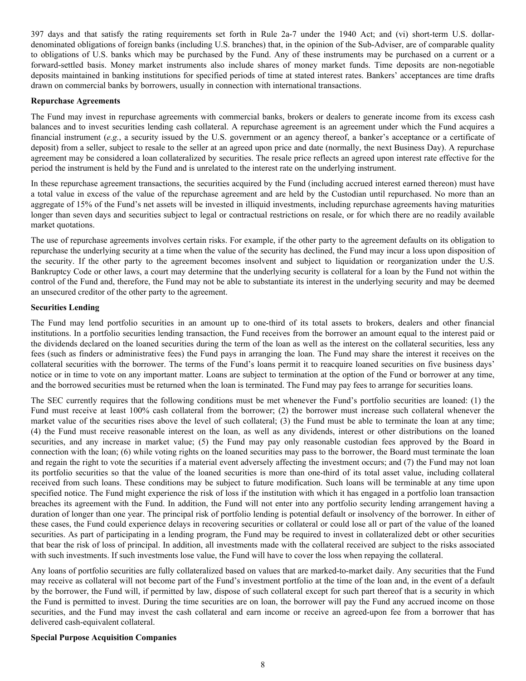397 days and that satisfy the rating requirements set forth in Rule 2a-7 under the 1940 Act; and (vi) short-term U.S. dollardenominated obligations of foreign banks (including U.S. branches) that, in the opinion of the Sub-Adviser, are of comparable quality to obligations of U.S. banks which may be purchased by the Fund. Any of these instruments may be purchased on a current or a forward-settled basis. Money market instruments also include shares of money market funds. Time deposits are non-negotiable deposits maintained in banking institutions for specified periods of time at stated interest rates. Bankers' acceptances are time drafts drawn on commercial banks by borrowers, usually in connection with international transactions.

#### **Repurchase Agreements**

The Fund may invest in repurchase agreements with commercial banks, brokers or dealers to generate income from its excess cash balances and to invest securities lending cash collateral. A repurchase agreement is an agreement under which the Fund acquires a financial instrument (*e.g.*, a security issued by the U.S. government or an agency thereof, a banker's acceptance or a certificate of deposit) from a seller, subject to resale to the seller at an agreed upon price and date (normally, the next Business Day). A repurchase agreement may be considered a loan collateralized by securities. The resale price reflects an agreed upon interest rate effective for the period the instrument is held by the Fund and is unrelated to the interest rate on the underlying instrument.

In these repurchase agreement transactions, the securities acquired by the Fund (including accrued interest earned thereon) must have a total value in excess of the value of the repurchase agreement and are held by the Custodian until repurchased. No more than an aggregate of 15% of the Fund's net assets will be invested in illiquid investments, including repurchase agreements having maturities longer than seven days and securities subject to legal or contractual restrictions on resale, or for which there are no readily available market quotations.

The use of repurchase agreements involves certain risks. For example, if the other party to the agreement defaults on its obligation to repurchase the underlying security at a time when the value of the security has declined, the Fund may incur a loss upon disposition of the security. If the other party to the agreement becomes insolvent and subject to liquidation or reorganization under the U.S. Bankruptcy Code or other laws, a court may determine that the underlying security is collateral for a loan by the Fund not within the control of the Fund and, therefore, the Fund may not be able to substantiate its interest in the underlying security and may be deemed an unsecured creditor of the other party to the agreement.

### **Securities Lending**

The Fund may lend portfolio securities in an amount up to one-third of its total assets to brokers, dealers and other financial institutions. In a portfolio securities lending transaction, the Fund receives from the borrower an amount equal to the interest paid or the dividends declared on the loaned securities during the term of the loan as well as the interest on the collateral securities, less any fees (such as finders or administrative fees) the Fund pays in arranging the loan. The Fund may share the interest it receives on the collateral securities with the borrower. The terms of the Fund's loans permit it to reacquire loaned securities on five business days' notice or in time to vote on any important matter. Loans are subject to termination at the option of the Fund or borrower at any time, and the borrowed securities must be returned when the loan is terminated. The Fund may pay fees to arrange for securities loans.

The SEC currently requires that the following conditions must be met whenever the Fund's portfolio securities are loaned: (1) the Fund must receive at least 100% cash collateral from the borrower; (2) the borrower must increase such collateral whenever the market value of the securities rises above the level of such collateral; (3) the Fund must be able to terminate the loan at any time; (4) the Fund must receive reasonable interest on the loan, as well as any dividends, interest or other distributions on the loaned securities, and any increase in market value; (5) the Fund may pay only reasonable custodian fees approved by the Board in connection with the loan; (6) while voting rights on the loaned securities may pass to the borrower, the Board must terminate the loan and regain the right to vote the securities if a material event adversely affecting the investment occurs; and (7) the Fund may not loan its portfolio securities so that the value of the loaned securities is more than one-third of its total asset value, including collateral received from such loans. These conditions may be subject to future modification. Such loans will be terminable at any time upon specified notice. The Fund might experience the risk of loss if the institution with which it has engaged in a portfolio loan transaction breaches its agreement with the Fund. In addition, the Fund will not enter into any portfolio security lending arrangement having a duration of longer than one year. The principal risk of portfolio lending is potential default or insolvency of the borrower. In either of these cases, the Fund could experience delays in recovering securities or collateral or could lose all or part of the value of the loaned securities. As part of participating in a lending program, the Fund may be required to invest in collateralized debt or other securities that bear the risk of loss of principal. In addition, all investments made with the collateral received are subject to the risks associated with such investments. If such investments lose value, the Fund will have to cover the loss when repaying the collateral.

Any loans of portfolio securities are fully collateralized based on values that are marked-to-market daily. Any securities that the Fund may receive as collateral will not become part of the Fund's investment portfolio at the time of the loan and, in the event of a default by the borrower, the Fund will, if permitted by law, dispose of such collateral except for such part thereof that is a security in which the Fund is permitted to invest. During the time securities are on loan, the borrower will pay the Fund any accrued income on those securities, and the Fund may invest the cash collateral and earn income or receive an agreed-upon fee from a borrower that has delivered cash-equivalent collateral.

# **Special Purpose Acquisition Companies**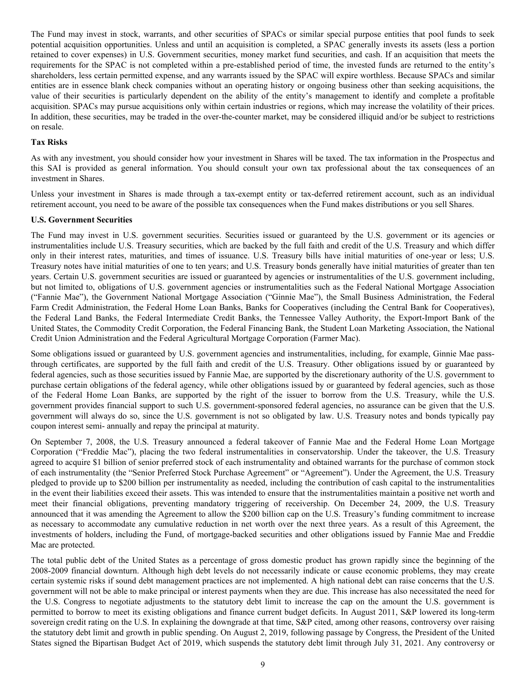The Fund may invest in stock, warrants, and other securities of SPACs or similar special purpose entities that pool funds to seek potential acquisition opportunities. Unless and until an acquisition is completed, a SPAC generally invests its assets (less a portion retained to cover expenses) in U.S. Government securities, money market fund securities, and cash. If an acquisition that meets the requirements for the SPAC is not completed within a pre-established period of time, the invested funds are returned to the entity's shareholders, less certain permitted expense, and any warrants issued by the SPAC will expire worthless. Because SPACs and similar entities are in essence blank check companies without an operating history or ongoing business other than seeking acquisitions, the value of their securities is particularly dependent on the ability of the entity's management to identify and complete a profitable acquisition. SPACs may pursue acquisitions only within certain industries or regions, which may increase the volatility of their prices. In addition, these securities, may be traded in the over-the-counter market, may be considered illiquid and/or be subject to restrictions on resale.

# **Tax Risks**

As with any investment, you should consider how your investment in Shares will be taxed. The tax information in the Prospectus and this SAI is provided as general information. You should consult your own tax professional about the tax consequences of an investment in Shares.

Unless your investment in Shares is made through a tax-exempt entity or tax-deferred retirement account, such as an individual retirement account, you need to be aware of the possible tax consequences when the Fund makes distributions or you sell Shares.

#### **U.S. Government Securities**

The Fund may invest in U.S. government securities. Securities issued or guaranteed by the U.S. government or its agencies or instrumentalities include U.S. Treasury securities, which are backed by the full faith and credit of the U.S. Treasury and which differ only in their interest rates, maturities, and times of issuance. U.S. Treasury bills have initial maturities of one-year or less; U.S. Treasury notes have initial maturities of one to ten years; and U.S. Treasury bonds generally have initial maturities of greater than ten years. Certain U.S. government securities are issued or guaranteed by agencies or instrumentalities of the U.S. government including, but not limited to, obligations of U.S. government agencies or instrumentalities such as the Federal National Mortgage Association ("Fannie Mae"), the Government National Mortgage Association ("Ginnie Mae"), the Small Business Administration, the Federal Farm Credit Administration, the Federal Home Loan Banks, Banks for Cooperatives (including the Central Bank for Cooperatives), the Federal Land Banks, the Federal Intermediate Credit Banks, the Tennessee Valley Authority, the Export-Import Bank of the United States, the Commodity Credit Corporation, the Federal Financing Bank, the Student Loan Marketing Association, the National Credit Union Administration and the Federal Agricultural Mortgage Corporation (Farmer Mac).

Some obligations issued or guaranteed by U.S. government agencies and instrumentalities, including, for example, Ginnie Mae passthrough certificates, are supported by the full faith and credit of the U.S. Treasury. Other obligations issued by or guaranteed by federal agencies, such as those securities issued by Fannie Mae, are supported by the discretionary authority of the U.S. government to purchase certain obligations of the federal agency, while other obligations issued by or guaranteed by federal agencies, such as those of the Federal Home Loan Banks, are supported by the right of the issuer to borrow from the U.S. Treasury, while the U.S. government provides financial support to such U.S. government-sponsored federal agencies, no assurance can be given that the U.S. government will always do so, since the U.S. government is not so obligated by law. U.S. Treasury notes and bonds typically pay coupon interest semi- annually and repay the principal at maturity.

On September 7, 2008, the U.S. Treasury announced a federal takeover of Fannie Mae and the Federal Home Loan Mortgage Corporation ("Freddie Mac"), placing the two federal instrumentalities in conservatorship. Under the takeover, the U.S. Treasury agreed to acquire \$1 billion of senior preferred stock of each instrumentality and obtained warrants for the purchase of common stock of each instrumentality (the "Senior Preferred Stock Purchase Agreement" or "Agreement"). Under the Agreement, the U.S. Treasury pledged to provide up to \$200 billion per instrumentality as needed, including the contribution of cash capital to the instrumentalities in the event their liabilities exceed their assets. This was intended to ensure that the instrumentalities maintain a positive net worth and meet their financial obligations, preventing mandatory triggering of receivership. On December 24, 2009, the U.S. Treasury announced that it was amending the Agreement to allow the \$200 billion cap on the U.S. Treasury's funding commitment to increase as necessary to accommodate any cumulative reduction in net worth over the next three years. As a result of this Agreement, the investments of holders, including the Fund, of mortgage-backed securities and other obligations issued by Fannie Mae and Freddie Mac are protected.

The total public debt of the United States as a percentage of gross domestic product has grown rapidly since the beginning of the 2008-2009 financial downturn. Although high debt levels do not necessarily indicate or cause economic problems, they may create certain systemic risks if sound debt management practices are not implemented. A high national debt can raise concerns that the U.S. government will not be able to make principal or interest payments when they are due. This increase has also necessitated the need for the U.S. Congress to negotiate adjustments to the statutory debt limit to increase the cap on the amount the U.S. government is permitted to borrow to meet its existing obligations and finance current budget deficits. In August 2011, S&P lowered its long-term sovereign credit rating on the U.S. In explaining the downgrade at that time, S&P cited, among other reasons, controversy over raising the statutory debt limit and growth in public spending. On August 2, 2019, following passage by Congress, the President of the United States signed the Bipartisan Budget Act of 2019, which suspends the statutory debt limit through July 31, 2021. Any controversy or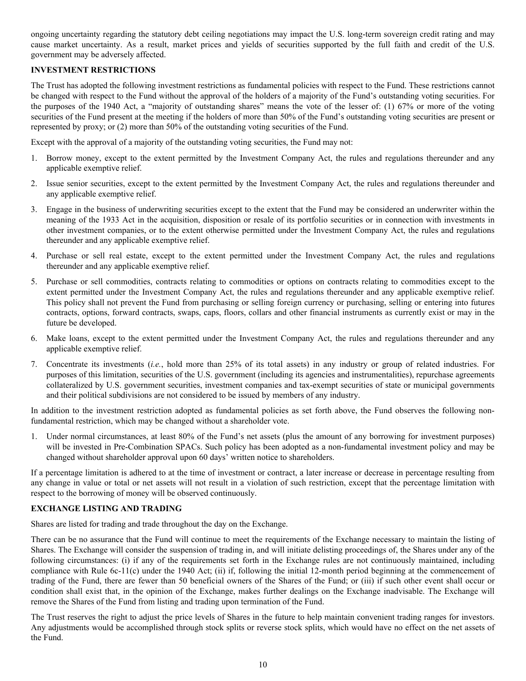<span id="page-9-0"></span>ongoing uncertainty regarding the statutory debt ceiling negotiations may impact the U.S. long-term sovereign credit rating and may cause market uncertainty. As a result, market prices and yields of securities supported by the full faith and credit of the U.S. government may be adversely affected.

# **INVESTMENT RESTRICTIONS**

The Trust has adopted the following investment restrictions as fundamental policies with respect to the Fund. These restrictions cannot be changed with respect to the Fund without the approval of the holders of a majority of the Fund's outstanding voting securities. For the purposes of the 1940 Act, a "majority of outstanding shares" means the vote of the lesser of: (1) 67% or more of the voting securities of the Fund present at the meeting if the holders of more than 50% of the Fund's outstanding voting securities are present or represented by proxy; or (2) more than 50% of the outstanding voting securities of the Fund.

Except with the approval of a majority of the outstanding voting securities, the Fund may not:

- 1. Borrow money, except to the extent permitted by the Investment Company Act, the rules and regulations thereunder and any applicable exemptive relief.
- 2. Issue senior securities, except to the extent permitted by the Investment Company Act, the rules and regulations thereunder and any applicable exemptive relief.
- 3. Engage in the business of underwriting securities except to the extent that the Fund may be considered an underwriter within the meaning of the 1933 Act in the acquisition, disposition or resale of its portfolio securities or in connection with investments in other investment companies, or to the extent otherwise permitted under the Investment Company Act, the rules and regulations thereunder and any applicable exemptive relief.
- 4. Purchase or sell real estate, except to the extent permitted under the Investment Company Act, the rules and regulations thereunder and any applicable exemptive relief.
- 5. Purchase or sell commodities, contracts relating to commodities or options on contracts relating to commodities except to the extent permitted under the Investment Company Act, the rules and regulations thereunder and any applicable exemptive relief. This policy shall not prevent the Fund from purchasing or selling foreign currency or purchasing, selling or entering into futures contracts, options, forward contracts, swaps, caps, floors, collars and other financial instruments as currently exist or may in the future be developed.
- 6. Make loans, except to the extent permitted under the Investment Company Act, the rules and regulations thereunder and any applicable exemptive relief.
- 7. Concentrate its investments (*i.e.*, hold more than 25% of its total assets) in any industry or group of related industries. For purposes of this limitation, securities of the U.S. government (including its agencies and instrumentalities), repurchase agreements collateralized by U.S. government securities, investment companies and tax-exempt securities of state or municipal governments and their political subdivisions are not considered to be issued by members of any industry.

In addition to the investment restriction adopted as fundamental policies as set forth above, the Fund observes the following nonfundamental restriction, which may be changed without a shareholder vote.

1. Under normal circumstances, at least 80% of the Fund's net assets (plus the amount of any borrowing for investment purposes) will be invested in Pre-Combination SPACs. Such policy has been adopted as a non-fundamental investment policy and may be changed without shareholder approval upon 60 days' written notice to shareholders.

If a percentage limitation is adhered to at the time of investment or contract, a later increase or decrease in percentage resulting from any change in value or total or net assets will not result in a violation of such restriction, except that the percentage limitation with respect to the borrowing of money will be observed continuously.

# **EXCHANGE LISTING AND TRADING**

Shares are listed for trading and trade throughout the day on the Exchange.

There can be no assurance that the Fund will continue to meet the requirements of the Exchange necessary to maintain the listing of Shares. The Exchange will consider the suspension of trading in, and will initiate delisting proceedings of, the Shares under any of the following circumstances: (i) if any of the requirements set forth in the Exchange rules are not continuously maintained, including compliance with Rule 6c-11(c) under the 1940 Act; (ii) if, following the initial 12-month period beginning at the commencement of trading of the Fund, there are fewer than 50 beneficial owners of the Shares of the Fund; or (iii) if such other event shall occur or condition shall exist that, in the opinion of the Exchange, makes further dealings on the Exchange inadvisable. The Exchange will remove the Shares of the Fund from listing and trading upon termination of the Fund.

The Trust reserves the right to adjust the price levels of Shares in the future to help maintain convenient trading ranges for investors. Any adjustments would be accomplished through stock splits or reverse stock splits, which would have no effect on the net assets of the Fund.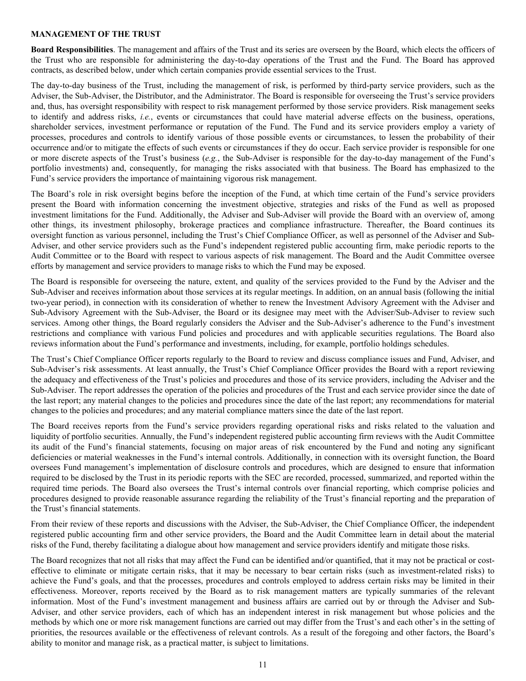#### <span id="page-10-0"></span>**MANAGEMENT OF THE TRUST**

**Board Responsibilities**. The management and affairs of the Trust and its series are overseen by the Board, which elects the officers of the Trust who are responsible for administering the day-to-day operations of the Trust and the Fund. The Board has approved contracts, as described below, under which certain companies provide essential services to the Trust.

The day-to-day business of the Trust, including the management of risk, is performed by third-party service providers, such as the Adviser, the Sub-Adviser, the Distributor, and the Administrator. The Board is responsible for overseeing the Trust's service providers and, thus, has oversight responsibility with respect to risk management performed by those service providers. Risk management seeks to identify and address risks, *i.e.*, events or circumstances that could have material adverse effects on the business, operations, shareholder services, investment performance or reputation of the Fund. The Fund and its service providers employ a variety of processes, procedures and controls to identify various of those possible events or circumstances, to lessen the probability of their occurrence and/or to mitigate the effects of such events or circumstances if they do occur. Each service provider is responsible for one or more discrete aspects of the Trust's business (*e.g.*, the Sub-Adviser is responsible for the day-to-day management of the Fund's portfolio investments) and, consequently, for managing the risks associated with that business. The Board has emphasized to the Fund's service providers the importance of maintaining vigorous risk management.

The Board's role in risk oversight begins before the inception of the Fund, at which time certain of the Fund's service providers present the Board with information concerning the investment objective, strategies and risks of the Fund as well as proposed investment limitations for the Fund. Additionally, the Adviser and Sub-Adviser will provide the Board with an overview of, among other things, its investment philosophy, brokerage practices and compliance infrastructure. Thereafter, the Board continues its oversight function as various personnel, including the Trust's Chief Compliance Officer, as well as personnel of the Adviser and Sub-Adviser, and other service providers such as the Fund's independent registered public accounting firm, make periodic reports to the Audit Committee or to the Board with respect to various aspects of risk management. The Board and the Audit Committee oversee efforts by management and service providers to manage risks to which the Fund may be exposed.

The Board is responsible for overseeing the nature, extent, and quality of the services provided to the Fund by the Adviser and the Sub-Adviser and receives information about those services at its regular meetings. In addition, on an annual basis (following the initial two-year period), in connection with its consideration of whether to renew the Investment Advisory Agreement with the Adviser and Sub-Advisory Agreement with the Sub-Adviser, the Board or its designee may meet with the Adviser/Sub-Adviser to review such services. Among other things, the Board regularly considers the Adviser and the Sub-Adviser's adherence to the Fund's investment restrictions and compliance with various Fund policies and procedures and with applicable securities regulations. The Board also reviews information about the Fund's performance and investments, including, for example, portfolio holdings schedules.

The Trust's Chief Compliance Officer reports regularly to the Board to review and discuss compliance issues and Fund, Adviser, and Sub-Adviser's risk assessments. At least annually, the Trust's Chief Compliance Officer provides the Board with a report reviewing the adequacy and effectiveness of the Trust's policies and procedures and those of its service providers, including the Adviser and the Sub-Adviser. The report addresses the operation of the policies and procedures of the Trust and each service provider since the date of the last report; any material changes to the policies and procedures since the date of the last report; any recommendations for material changes to the policies and procedures; and any material compliance matters since the date of the last report.

The Board receives reports from the Fund's service providers regarding operational risks and risks related to the valuation and liquidity of portfolio securities. Annually, the Fund's independent registered public accounting firm reviews with the Audit Committee its audit of the Fund's financial statements, focusing on major areas of risk encountered by the Fund and noting any significant deficiencies or material weaknesses in the Fund's internal controls. Additionally, in connection with its oversight function, the Board oversees Fund management's implementation of disclosure controls and procedures, which are designed to ensure that information required to be disclosed by the Trust in its periodic reports with the SEC are recorded, processed, summarized, and reported within the required time periods. The Board also oversees the Trust's internal controls over financial reporting, which comprise policies and procedures designed to provide reasonable assurance regarding the reliability of the Trust's financial reporting and the preparation of the Trust's financial statements.

From their review of these reports and discussions with the Adviser, the Sub-Adviser, the Chief Compliance Officer, the independent registered public accounting firm and other service providers, the Board and the Audit Committee learn in detail about the material risks of the Fund, thereby facilitating a dialogue about how management and service providers identify and mitigate those risks.

The Board recognizes that not all risks that may affect the Fund can be identified and/or quantified, that it may not be practical or costeffective to eliminate or mitigate certain risks, that it may be necessary to bear certain risks (such as investment-related risks) to achieve the Fund's goals, and that the processes, procedures and controls employed to address certain risks may be limited in their effectiveness. Moreover, reports received by the Board as to risk management matters are typically summaries of the relevant information. Most of the Fund's investment management and business affairs are carried out by or through the Adviser and Sub-Adviser, and other service providers, each of which has an independent interest in risk management but whose policies and the methods by which one or more risk management functions are carried out may differ from the Trust's and each other's in the setting of priorities, the resources available or the effectiveness of relevant controls. As a result of the foregoing and other factors, the Board's ability to monitor and manage risk, as a practical matter, is subject to limitations.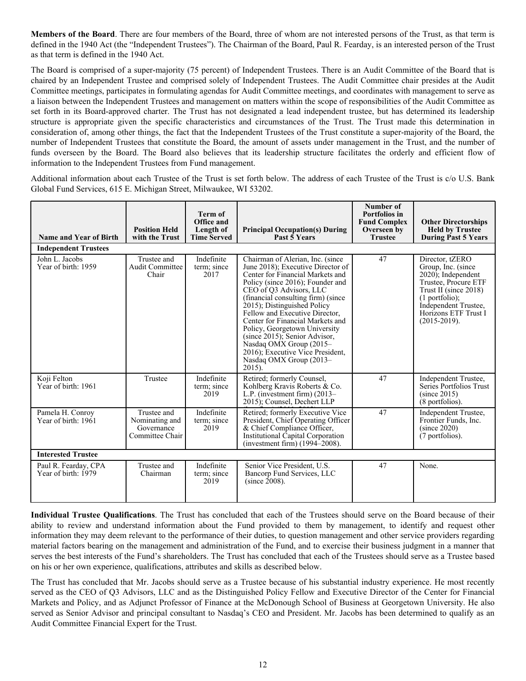**Members of the Board**. There are four members of the Board, three of whom are not interested persons of the Trust, as that term is defined in the 1940 Act (the "Independent Trustees"). The Chairman of the Board, Paul R. Fearday, is an interested person of the Trust as that term is defined in the 1940 Act.

The Board is comprised of a super-majority (75 percent) of Independent Trustees. There is an Audit Committee of the Board that is chaired by an Independent Trustee and comprised solely of Independent Trustees. The Audit Committee chair presides at the Audit Committee meetings, participates in formulating agendas for Audit Committee meetings, and coordinates with management to serve as a liaison between the Independent Trustees and management on matters within the scope of responsibilities of the Audit Committee as set forth in its Board-approved charter. The Trust has not designated a lead independent trustee, but has determined its leadership structure is appropriate given the specific characteristics and circumstances of the Trust. The Trust made this determination in consideration of, among other things, the fact that the Independent Trustees of the Trust constitute a super-majority of the Board, the number of Independent Trustees that constitute the Board, the amount of assets under management in the Trust, and the number of funds overseen by the Board. The Board also believes that its leadership structure facilitates the orderly and efficient flow of information to the Independent Trustees from Fund management.

Additional information about each Trustee of the Trust is set forth below. The address of each Trustee of the Trust is c/o U.S. Bank Global Fund Services, 615 E. Michigan Street, Milwaukee, WI 53202.

| <b>Name and Year of Birth</b>               | <b>Position Held</b><br>with the Trust                         | <b>Term of</b><br>Office and<br>Length of<br><b>Time Served</b> | <b>Principal Occupation(s) During</b><br>Past 5 Years                                                                                                                                                                                                                                                                                                                                                                                                                                        | Number of<br>Portfolios in<br><b>Fund Complex</b><br>Overseen by<br><b>Trustee</b> | <b>Other Directorships</b><br><b>Held by Trustee</b><br><b>During Past 5 Years</b>                                                                                                                      |
|---------------------------------------------|----------------------------------------------------------------|-----------------------------------------------------------------|----------------------------------------------------------------------------------------------------------------------------------------------------------------------------------------------------------------------------------------------------------------------------------------------------------------------------------------------------------------------------------------------------------------------------------------------------------------------------------------------|------------------------------------------------------------------------------------|---------------------------------------------------------------------------------------------------------------------------------------------------------------------------------------------------------|
| <b>Independent Trustees</b>                 |                                                                |                                                                 |                                                                                                                                                                                                                                                                                                                                                                                                                                                                                              |                                                                                    |                                                                                                                                                                                                         |
| John L. Jacobs<br>Year of birth: 1959       | Trustee and<br><b>Audit Committee</b><br>Chair                 | Indefinite<br>term: since<br>2017                               | Chairman of Alerian, Inc. (since<br>June 2018); Executive Director of<br>Center for Financial Markets and<br>Policy (since 2016); Founder and<br>CEO of O3 Advisors, LLC<br>(financial consulting firm) (since<br>2015); Distinguished Policy<br>Fellow and Executive Director,<br>Center for Financial Markets and<br>Policy, Georgetown University<br>(since 2015); Senior Advisor,<br>Nasdaq OMX Group (2015-<br>2016); Executive Vice President,<br>Nasdaq OMX Group (2013-<br>$2015$ ). | 47                                                                                 | Director, tZERO<br>Group, Inc. (since<br>$2020$ ; Independent<br>Trustee, Procure ETF<br>Trust II (since 2018)<br>$(1$ portfolio);<br>Independent Trustee,<br>Horizons ETF Trust I<br>$(2015 - 2019)$ . |
| Koji Felton<br>Year of birth: 1961          | Trustee                                                        | Indefinite<br>term; since<br>2019                               | Retired; formerly Counsel,<br>Kohlberg Kravis Roberts & Co.<br>L.P. (investment firm) $(2013-$<br>2015); Counsel, Dechert LLP                                                                                                                                                                                                                                                                                                                                                                | 47                                                                                 | Independent Trustee,<br>Series Portfolios Trust<br>(since 2015)<br>(8 portfolios).                                                                                                                      |
| Pamela H. Conroy<br>Year of birth: 1961     | Trustee and<br>Nominating and<br>Governance<br>Committee Chair | Indefinite<br>term; since<br>2019                               | Retired; formerly Executive Vice<br>President, Chief Operating Officer<br>& Chief Compliance Officer,<br>Institutional Capital Corporation<br>(investment firm) (1994–2008).                                                                                                                                                                                                                                                                                                                 | 47                                                                                 | Independent Trustee,<br>Frontier Funds, Inc.<br>(since 2020)<br>(7 portfolios).                                                                                                                         |
| <b>Interested Trustee</b>                   |                                                                |                                                                 |                                                                                                                                                                                                                                                                                                                                                                                                                                                                                              |                                                                                    |                                                                                                                                                                                                         |
| Paul R. Fearday, CPA<br>Year of birth: 1979 | Trustee and<br>Chairman                                        | Indefinite<br>term; since<br>2019                               | Senior Vice President, U.S.<br>Bancorp Fund Services, LLC<br>$(since 2008)$ .                                                                                                                                                                                                                                                                                                                                                                                                                | 47                                                                                 | None.                                                                                                                                                                                                   |

**Individual Trustee Qualifications**. The Trust has concluded that each of the Trustees should serve on the Board because of their ability to review and understand information about the Fund provided to them by management, to identify and request other information they may deem relevant to the performance of their duties, to question management and other service providers regarding material factors bearing on the management and administration of the Fund, and to exercise their business judgment in a manner that serves the best interests of the Fund's shareholders. The Trust has concluded that each of the Trustees should serve as a Trustee based on his or her own experience, qualifications, attributes and skills as described below.

The Trust has concluded that Mr. Jacobs should serve as a Trustee because of his substantial industry experience. He most recently served as the CEO of Q3 Advisors, LLC and as the Distinguished Policy Fellow and Executive Director of the Center for Financial Markets and Policy, and as Adjunct Professor of Finance at the McDonough School of Business at Georgetown University. He also served as Senior Advisor and principal consultant to Nasdaq's CEO and President. Mr. Jacobs has been determined to qualify as an Audit Committee Financial Expert for the Trust.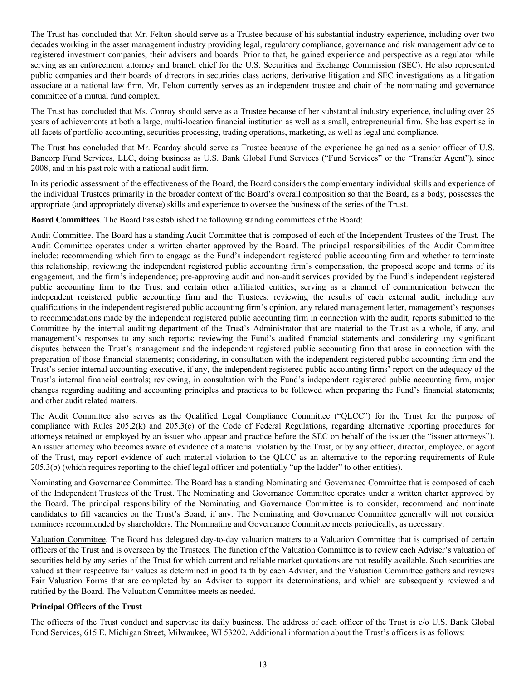The Trust has concluded that Mr. Felton should serve as a Trustee because of his substantial industry experience, including over two decades working in the asset management industry providing legal, regulatory compliance, governance and risk management advice to registered investment companies, their advisers and boards. Prior to that, he gained experience and perspective as a regulator while serving as an enforcement attorney and branch chief for the U.S. Securities and Exchange Commission (SEC). He also represented public companies and their boards of directors in securities class actions, derivative litigation and SEC investigations as a litigation associate at a national law firm. Mr. Felton currently serves as an independent trustee and chair of the nominating and governance committee of a mutual fund complex.

The Trust has concluded that Ms. Conroy should serve as a Trustee because of her substantial industry experience, including over 25 years of achievements at both a large, multi-location financial institution as well as a small, entrepreneurial firm. She has expertise in all facets of portfolio accounting, securities processing, trading operations, marketing, as well as legal and compliance.

The Trust has concluded that Mr. Fearday should serve as Trustee because of the experience he gained as a senior officer of U.S. Bancorp Fund Services, LLC, doing business as U.S. Bank Global Fund Services ("Fund Services" or the "Transfer Agent"), since 2008, and in his past role with a national audit firm.

In its periodic assessment of the effectiveness of the Board, the Board considers the complementary individual skills and experience of the individual Trustees primarily in the broader context of the Board's overall composition so that the Board, as a body, possesses the appropriate (and appropriately diverse) skills and experience to oversee the business of the series of the Trust.

**Board Committees**. The Board has established the following standing committees of the Board:

Audit Committee. The Board has a standing Audit Committee that is composed of each of the Independent Trustees of the Trust. The Audit Committee operates under a written charter approved by the Board. The principal responsibilities of the Audit Committee include: recommending which firm to engage as the Fund's independent registered public accounting firm and whether to terminate this relationship; reviewing the independent registered public accounting firm's compensation, the proposed scope and terms of its engagement, and the firm's independence; pre-approving audit and non-audit services provided by the Fund's independent registered public accounting firm to the Trust and certain other affiliated entities; serving as a channel of communication between the independent registered public accounting firm and the Trustees; reviewing the results of each external audit, including any qualifications in the independent registered public accounting firm's opinion, any related management letter, management's responses to recommendations made by the independent registered public accounting firm in connection with the audit, reports submitted to the Committee by the internal auditing department of the Trust's Administrator that are material to the Trust as a whole, if any, and management's responses to any such reports; reviewing the Fund's audited financial statements and considering any significant disputes between the Trust's management and the independent registered public accounting firm that arose in connection with the preparation of those financial statements; considering, in consultation with the independent registered public accounting firm and the Trust's senior internal accounting executive, if any, the independent registered public accounting firms' report on the adequacy of the Trust's internal financial controls; reviewing, in consultation with the Fund's independent registered public accounting firm, major changes regarding auditing and accounting principles and practices to be followed when preparing the Fund's financial statements; and other audit related matters.

The Audit Committee also serves as the Qualified Legal Compliance Committee ("QLCC") for the Trust for the purpose of compliance with Rules 205.2(k) and 205.3(c) of the Code of Federal Regulations, regarding alternative reporting procedures for attorneys retained or employed by an issuer who appear and practice before the SEC on behalf of the issuer (the "issuer attorneys"). An issuer attorney who becomes aware of evidence of a material violation by the Trust, or by any officer, director, employee, or agent of the Trust, may report evidence of such material violation to the QLCC as an alternative to the reporting requirements of Rule 205.3(b) (which requires reporting to the chief legal officer and potentially "up the ladder" to other entities).

Nominating and Governance Committee. The Board has a standing Nominating and Governance Committee that is composed of each of the Independent Trustees of the Trust. The Nominating and Governance Committee operates under a written charter approved by the Board. The principal responsibility of the Nominating and Governance Committee is to consider, recommend and nominate candidates to fill vacancies on the Trust's Board, if any. The Nominating and Governance Committee generally will not consider nominees recommended by shareholders. The Nominating and Governance Committee meets periodically, as necessary.

Valuation Committee. The Board has delegated day-to-day valuation matters to a Valuation Committee that is comprised of certain officers of the Trust and is overseen by the Trustees. The function of the Valuation Committee is to review each Adviser's valuation of securities held by any series of the Trust for which current and reliable market quotations are not readily available. Such securities are valued at their respective fair values as determined in good faith by each Adviser, and the Valuation Committee gathers and reviews Fair Valuation Forms that are completed by an Adviser to support its determinations, and which are subsequently reviewed and ratified by the Board. The Valuation Committee meets as needed.

# **Principal Officers of the Trust**

The officers of the Trust conduct and supervise its daily business. The address of each officer of the Trust is c/o U.S. Bank Global Fund Services, 615 E. Michigan Street, Milwaukee, WI 53202. Additional information about the Trust's officers is as follows: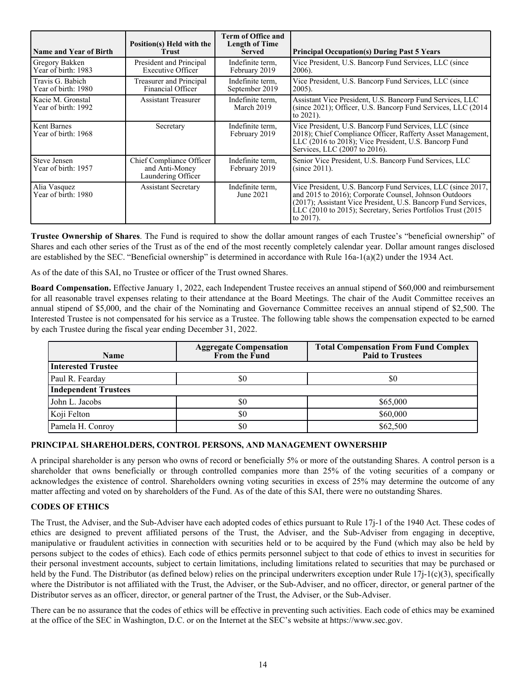<span id="page-13-0"></span>

| <b>Name and Year of Birth</b>            | Position(s) Held with the<br><b>Trust</b>                               | Term of Office and<br><b>Length of Time</b><br><b>Served</b> | <b>Principal Occupation(s) During Past 5 Years</b>                                                                                                                                                                                                                                    |
|------------------------------------------|-------------------------------------------------------------------------|--------------------------------------------------------------|---------------------------------------------------------------------------------------------------------------------------------------------------------------------------------------------------------------------------------------------------------------------------------------|
| Gregory Bakken<br>Year of birth: 1983    | President and Principal<br><b>Executive Officer</b>                     | Indefinite term.<br>February 2019                            | Vice President, U.S. Bancorp Fund Services, LLC (since)<br>$2006$ ).                                                                                                                                                                                                                  |
| Travis G. Babich<br>Year of birth: 1980  | <b>Treasurer and Principal</b><br>Financial Officer                     | Indefinite term,<br>September 2019                           | Vice President, U.S. Bancorp Fund Services, LLC (since<br>$2005$ ).                                                                                                                                                                                                                   |
| Kacie M. Gronstal<br>Year of birth: 1992 | <b>Assistant Treasurer</b>                                              | Indefinite term.<br>March 2019                               | Assistant Vice President, U.S. Bancorp Fund Services, LLC<br>(since 2021); Officer, U.S. Bancorp Fund Services, LLC (2014)<br>to $2021$ ).                                                                                                                                            |
| Kent Barnes<br>Year of birth: 1968       | Secretary                                                               | Indefinite term.<br>February 2019                            | Vice President, U.S. Bancorp Fund Services, LLC (since)<br>2018); Chief Compliance Officer, Rafferty Asset Management,<br>LLC (2016 to 2018); Vice President, U.S. Bancorp Fund<br>Services, LLC (2007 to 2016).                                                                      |
| Steve Jensen<br>Year of birth: 1957      | <b>Chief Compliance Officer</b><br>and Anti-Money<br>Laundering Officer | Indefinite term.<br>February 2019                            | Senior Vice President, U.S. Bancorp Fund Services, LLC<br>$(since 2011)$ .                                                                                                                                                                                                            |
| Alia Vasquez<br>Year of birth: 1980      | <b>Assistant Secretary</b>                                              | Indefinite term.<br>June 2021                                | Vice President, U.S. Bancorp Fund Services, LLC (since 2017,<br>and 2015 to 2016); Corporate Counsel, Johnson Outdoors<br>(2017); Assistant Vice President, U.S. Bancorp Fund Services,<br>LLC $(2010 \text{ to } 2015)$ ; Secretary, Series Portfolios Trust $(2015$<br>to $2017$ ). |

**Trustee Ownership of Shares**. The Fund is required to show the dollar amount ranges of each Trustee's "beneficial ownership" of Shares and each other series of the Trust as of the end of the most recently completely calendar year. Dollar amount ranges disclosed are established by the SEC. "Beneficial ownership" is determined in accordance with Rule 16a-1(a)(2) under the 1934 Act.

As of the date of this SAI, no Trustee or officer of the Trust owned Shares.

**Board Compensation.** Effective January 1, 2022, each Independent Trustee receives an annual stipend of \$60,000 and reimbursement for all reasonable travel expenses relating to their attendance at the Board Meetings. The chair of the Audit Committee receives an annual stipend of \$5,000, and the chair of the Nominating and Governance Committee receives an annual stipend of \$2,500. The Interested Trustee is not compensated for his service as a Trustee. The following table shows the compensation expected to be earned by each Trustee during the fiscal year ending December 31, 2022.

| <b>Name</b>                 | <b>Aggregate Compensation</b><br>From the Fund | <b>Total Compensation From Fund Complex</b><br><b>Paid to Trustees</b> |  |  |
|-----------------------------|------------------------------------------------|------------------------------------------------------------------------|--|--|
| <b>Interested Trustee</b>   |                                                |                                                                        |  |  |
| Paul R. Fearday             | S0                                             | \$0                                                                    |  |  |
| <b>Independent Trustees</b> |                                                |                                                                        |  |  |
| John L. Jacobs              | \$0                                            | \$65,000                                                               |  |  |
| Koji Felton                 | \$0                                            | \$60,000                                                               |  |  |
| Pamela H. Conroy            | \$0                                            | \$62,500                                                               |  |  |

# **PRINCIPAL SHAREHOLDERS, CONTROL PERSONS, AND MANAGEMENT OWNERSHIP**

A principal shareholder is any person who owns of record or beneficially 5% or more of the outstanding Shares. A control person is a shareholder that owns beneficially or through controlled companies more than 25% of the voting securities of a company or acknowledges the existence of control. Shareholders owning voting securities in excess of 25% may determine the outcome of any matter affecting and voted on by shareholders of the Fund. As of the date of this SAI, there were no outstanding Shares.

# **CODES OF ETHICS**

The Trust, the Adviser, and the Sub-Adviser have each adopted codes of ethics pursuant to Rule 17j-1 of the 1940 Act. These codes of ethics are designed to prevent affiliated persons of the Trust, the Adviser, and the Sub-Adviser from engaging in deceptive, manipulative or fraudulent activities in connection with securities held or to be acquired by the Fund (which may also be held by persons subject to the codes of ethics). Each code of ethics permits personnel subject to that code of ethics to invest in securities for their personal investment accounts, subject to certain limitations, including limitations related to securities that may be purchased or held by the Fund. The Distributor (as defined below) relies on the principal underwriters exception under Rule 17j-1(c)(3), specifically where the Distributor is not affiliated with the Trust, the Adviser, or the Sub-Adviser, and no officer, director, or general partner of the Distributor serves as an officer, director, or general partner of the Trust, the Adviser, or the Sub-Adviser.

There can be no assurance that the codes of ethics will be effective in preventing such activities. Each code of ethics may be examined at the office of the SEC in Washington, D.C. or on the Internet at the SEC's website at https://www.sec.gov.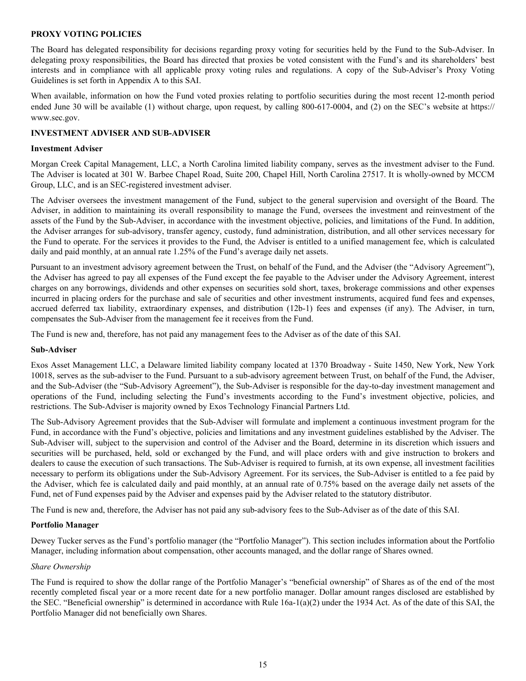### <span id="page-14-0"></span>**PROXY VOTING POLICIES**

The Board has delegated responsibility for decisions regarding proxy voting for securities held by the Fund to the Sub-Adviser. In delegating proxy responsibilities, the Board has directed that proxies be voted consistent with the Fund's and its shareholders' best interests and in compliance with all applicable proxy voting rules and regulations. A copy of the Sub-Adviser's Proxy Voting Guidelines is set forth in Appendix A to this SAI.

When available, information on how the Fund voted proxies relating to portfolio securities during the most recent 12-month period ended June 30 will be available (1) without charge, upon request, by calling 800-617-0004, and (2) on the SEC's website at https:// www.sec.gov.

### **INVESTMENT ADVISER AND SUB-ADVISER**

#### **Investment Adviser**

Morgan Creek Capital Management, LLC, a North Carolina limited liability company, serves as the investment adviser to the Fund. The Adviser is located at 301 W. Barbee Chapel Road, Suite 200, Chapel Hill, North Carolina 27517. It is wholly-owned by MCCM Group, LLC, and is an SEC-registered investment adviser.

The Adviser oversees the investment management of the Fund, subject to the general supervision and oversight of the Board. The Adviser, in addition to maintaining its overall responsibility to manage the Fund, oversees the investment and reinvestment of the assets of the Fund by the Sub-Adviser, in accordance with the investment objective, policies, and limitations of the Fund. In addition, the Adviser arranges for sub-advisory, transfer agency, custody, fund administration, distribution, and all other services necessary for the Fund to operate. For the services it provides to the Fund, the Adviser is entitled to a unified management fee, which is calculated daily and paid monthly, at an annual rate 1.25% of the Fund's average daily net assets.

Pursuant to an investment advisory agreement between the Trust, on behalf of the Fund, and the Adviser (the "Advisory Agreement"), the Adviser has agreed to pay all expenses of the Fund except the fee payable to the Adviser under the Advisory Agreement, interest charges on any borrowings, dividends and other expenses on securities sold short, taxes, brokerage commissions and other expenses incurred in placing orders for the purchase and sale of securities and other investment instruments, acquired fund fees and expenses, accrued deferred tax liability, extraordinary expenses, and distribution (12b-1) fees and expenses (if any). The Adviser, in turn, compensates the Sub-Adviser from the management fee it receives from the Fund.

The Fund is new and, therefore, has not paid any management fees to the Adviser as of the date of this SAI.

#### **Sub-Adviser**

Exos Asset Management LLC, a Delaware limited liability company located at 1370 Broadway - Suite 1450, New York, New York 10018, serves as the sub-adviser to the Fund. Pursuant to a sub-advisory agreement between Trust, on behalf of the Fund, the Adviser, and the Sub-Adviser (the "Sub-Advisory Agreement"), the Sub-Adviser is responsible for the day-to-day investment management and operations of the Fund, including selecting the Fund's investments according to the Fund's investment objective, policies, and restrictions. The Sub-Adviser is majority owned by Exos Technology Financial Partners Ltd.

The Sub-Advisory Agreement provides that the Sub-Adviser will formulate and implement a continuous investment program for the Fund, in accordance with the Fund's objective, policies and limitations and any investment guidelines established by the Adviser. The Sub-Adviser will, subject to the supervision and control of the Adviser and the Board, determine in its discretion which issuers and securities will be purchased, held, sold or exchanged by the Fund, and will place orders with and give instruction to brokers and dealers to cause the execution of such transactions. The Sub-Adviser is required to furnish, at its own expense, all investment facilities necessary to perform its obligations under the Sub-Advisory Agreement. For its services, the Sub-Adviser is entitled to a fee paid by the Adviser, which fee is calculated daily and paid monthly, at an annual rate of 0.75% based on the average daily net assets of the Fund, net of Fund expenses paid by the Adviser and expenses paid by the Adviser related to the statutory distributor.

The Fund is new and, therefore, the Adviser has not paid any sub-advisory fees to the Sub-Adviser as of the date of this SAI.

#### **Portfolio Manager**

Dewey Tucker serves as the Fund's portfolio manager (the "Portfolio Manager"). This section includes information about the Portfolio Manager, including information about compensation, other accounts managed, and the dollar range of Shares owned.

# *Share Ownership*

The Fund is required to show the dollar range of the Portfolio Manager's "beneficial ownership" of Shares as of the end of the most recently completed fiscal year or a more recent date for a new portfolio manager. Dollar amount ranges disclosed are established by the SEC. "Beneficial ownership" is determined in accordance with Rule  $16a-1(a)(2)$  under the 1934 Act. As of the date of this SAI, the Portfolio Manager did not beneficially own Shares.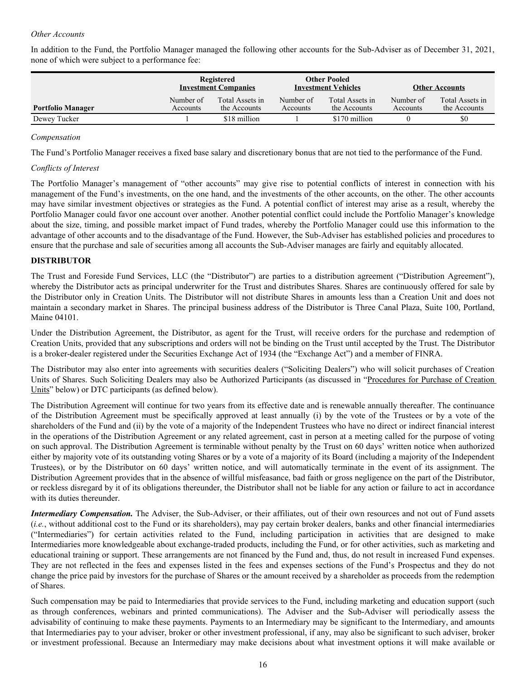### <span id="page-15-0"></span>*Other Accounts*

In addition to the Fund, the Portfolio Manager managed the following other accounts for the Sub-Adviser as of December 31, 2021, none of which were subject to a performance fee:

|                          | Registered<br><b>Investment Companies</b> |                                 | <b>Other Pooled</b><br><b>Investment Vehicles</b> |                                 | <b>Other Accounts</b> |                                 |
|--------------------------|-------------------------------------------|---------------------------------|---------------------------------------------------|---------------------------------|-----------------------|---------------------------------|
| <b>Portfolio Manager</b> | Number of<br>Accounts                     | Total Assets in<br>the Accounts | Number of<br>Accounts                             | Total Assets in<br>the Accounts | Number of<br>Accounts | Total Assets in<br>the Accounts |
| Dewey Tucker             |                                           | \$18 million                    |                                                   | \$170 million                   |                       | \$0                             |

### *Compensation*

The Fund's Portfolio Manager receives a fixed base salary and discretionary bonus that are not tied to the performance of the Fund.

### *Conflicts of Interest*

The Portfolio Manager's management of "other accounts" may give rise to potential conflicts of interest in connection with his management of the Fund's investments, on the one hand, and the investments of the other accounts, on the other. The other accounts may have similar investment objectives or strategies as the Fund. A potential conflict of interest may arise as a result, whereby the Portfolio Manager could favor one account over another. Another potential conflict could include the Portfolio Manager's knowledge about the size, timing, and possible market impact of Fund trades, whereby the Portfolio Manager could use this information to the advantage of other accounts and to the disadvantage of the Fund. However, the Sub-Adviser has established policies and procedures to ensure that the purchase and sale of securities among all accounts the Sub-Adviser manages are fairly and equitably allocated.

# **DISTRIBUTOR**

The Trust and Foreside Fund Services, LLC (the "Distributor") are parties to a distribution agreement ("Distribution Agreement"), whereby the Distributor acts as principal underwriter for the Trust and distributes Shares. Shares are continuously offered for sale by the Distributor only in Creation Units. The Distributor will not distribute Shares in amounts less than a Creation Unit and does not maintain a secondary market in Shares. The principal business address of the Distributor is Three Canal Plaza, Suite 100, Portland, Maine 04101.

Under the Distribution Agreement, the Distributor, as agent for the Trust, will receive orders for the purchase and redemption of Creation Units, provided that any subscriptions and orders will not be binding on the Trust until accepted by the Trust. The Distributor is a broker-dealer registered under the Securities Exchange Act of 1934 (the "Exchange Act") and a member of FINRA.

The Distributor may also enter into agreements with securities dealers ("Soliciting Dealers") who will solicit purchases of Creation Units of Shares. Such Soliciting Dealers may also be Authorized Participants (as discussed in "Procedures for Purchase of Creation Units" below) or DTC participants (as defined below).

The Distribution Agreement will continue for two years from its effective date and is renewable annually thereafter. The continuance of the Distribution Agreement must be specifically approved at least annually (i) by the vote of the Trustees or by a vote of the shareholders of the Fund and (ii) by the vote of a majority of the Independent Trustees who have no direct or indirect financial interest in the operations of the Distribution Agreement or any related agreement, cast in person at a meeting called for the purpose of voting on such approval. The Distribution Agreement is terminable without penalty by the Trust on 60 days' written notice when authorized either by majority vote of its outstanding voting Shares or by a vote of a majority of its Board (including a majority of the Independent Trustees), or by the Distributor on 60 days' written notice, and will automatically terminate in the event of its assignment. The Distribution Agreement provides that in the absence of willful misfeasance, bad faith or gross negligence on the part of the Distributor, or reckless disregard by it of its obligations thereunder, the Distributor shall not be liable for any action or failure to act in accordance with its duties thereunder.

*Intermediary Compensation.* The Adviser, the Sub-Adviser, or their affiliates, out of their own resources and not out of Fund assets (*i.e.*, without additional cost to the Fund or its shareholders), may pay certain broker dealers, banks and other financial intermediaries ("Intermediaries") for certain activities related to the Fund, including participation in activities that are designed to make Intermediaries more knowledgeable about exchange-traded products, including the Fund, or for other activities, such as marketing and educational training or support. These arrangements are not financed by the Fund and, thus, do not result in increased Fund expenses. They are not reflected in the fees and expenses listed in the fees and expenses sections of the Fund's Prospectus and they do not change the price paid by investors for the purchase of Shares or the amount received by a shareholder as proceeds from the redemption of Shares.

Such compensation may be paid to Intermediaries that provide services to the Fund, including marketing and education support (such as through conferences, webinars and printed communications). The Adviser and the Sub-Adviser will periodically assess the advisability of continuing to make these payments. Payments to an Intermediary may be significant to the Intermediary, and amounts that Intermediaries pay to your adviser, broker or other investment professional, if any, may also be significant to such adviser, broker or investment professional. Because an Intermediary may make decisions about what investment options it will make available or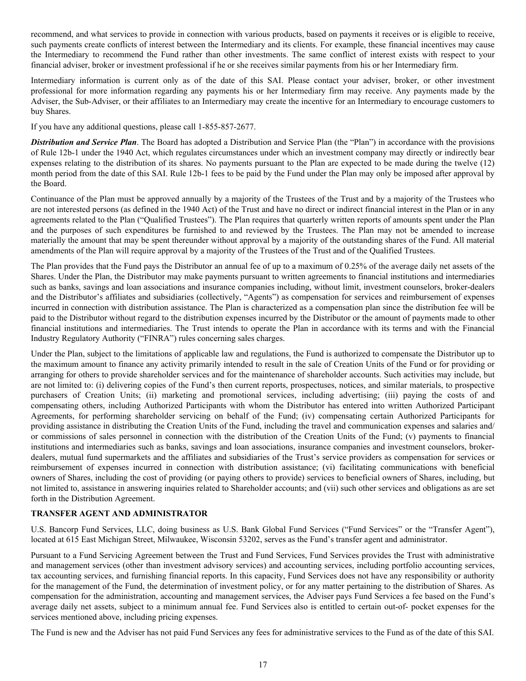<span id="page-16-0"></span>recommend, and what services to provide in connection with various products, based on payments it receives or is eligible to receive, such payments create conflicts of interest between the Intermediary and its clients. For example, these financial incentives may cause the Intermediary to recommend the Fund rather than other investments. The same conflict of interest exists with respect to your financial adviser, broker or investment professional if he or she receives similar payments from his or her Intermediary firm.

Intermediary information is current only as of the date of this SAI. Please contact your adviser, broker, or other investment professional for more information regarding any payments his or her Intermediary firm may receive. Any payments made by the Adviser, the Sub-Adviser, or their affiliates to an Intermediary may create the incentive for an Intermediary to encourage customers to buy Shares.

If you have any additional questions, please call 1-855-857-2677.

*Distribution and Service Plan*. The Board has adopted a Distribution and Service Plan (the "Plan") in accordance with the provisions of Rule 12b-1 under the 1940 Act, which regulates circumstances under which an investment company may directly or indirectly bear expenses relating to the distribution of its shares. No payments pursuant to the Plan are expected to be made during the twelve (12) month period from the date of this SAI. Rule 12b-1 fees to be paid by the Fund under the Plan may only be imposed after approval by the Board.

Continuance of the Plan must be approved annually by a majority of the Trustees of the Trust and by a majority of the Trustees who are not interested persons (as defined in the 1940 Act) of the Trust and have no direct or indirect financial interest in the Plan or in any agreements related to the Plan ("Qualified Trustees"). The Plan requires that quarterly written reports of amounts spent under the Plan and the purposes of such expenditures be furnished to and reviewed by the Trustees. The Plan may not be amended to increase materially the amount that may be spent thereunder without approval by a majority of the outstanding shares of the Fund. All material amendments of the Plan will require approval by a majority of the Trustees of the Trust and of the Qualified Trustees.

The Plan provides that the Fund pays the Distributor an annual fee of up to a maximum of 0.25% of the average daily net assets of the Shares. Under the Plan, the Distributor may make payments pursuant to written agreements to financial institutions and intermediaries such as banks, savings and loan associations and insurance companies including, without limit, investment counselors, broker-dealers and the Distributor's affiliates and subsidiaries (collectively, "Agents") as compensation for services and reimbursement of expenses incurred in connection with distribution assistance. The Plan is characterized as a compensation plan since the distribution fee will be paid to the Distributor without regard to the distribution expenses incurred by the Distributor or the amount of payments made to other financial institutions and intermediaries. The Trust intends to operate the Plan in accordance with its terms and with the Financial Industry Regulatory Authority ("FINRA") rules concerning sales charges.

Under the Plan, subject to the limitations of applicable law and regulations, the Fund is authorized to compensate the Distributor up to the maximum amount to finance any activity primarily intended to result in the sale of Creation Units of the Fund or for providing or arranging for others to provide shareholder services and for the maintenance of shareholder accounts. Such activities may include, but are not limited to: (i) delivering copies of the Fund's then current reports, prospectuses, notices, and similar materials, to prospective purchasers of Creation Units; (ii) marketing and promotional services, including advertising; (iii) paying the costs of and compensating others, including Authorized Participants with whom the Distributor has entered into written Authorized Participant Agreements, for performing shareholder servicing on behalf of the Fund; (iv) compensating certain Authorized Participants for providing assistance in distributing the Creation Units of the Fund, including the travel and communication expenses and salaries and/ or commissions of sales personnel in connection with the distribution of the Creation Units of the Fund; (v) payments to financial institutions and intermediaries such as banks, savings and loan associations, insurance companies and investment counselors, brokerdealers, mutual fund supermarkets and the affiliates and subsidiaries of the Trust's service providers as compensation for services or reimbursement of expenses incurred in connection with distribution assistance; (vi) facilitating communications with beneficial owners of Shares, including the cost of providing (or paying others to provide) services to beneficial owners of Shares, including, but not limited to, assistance in answering inquiries related to Shareholder accounts; and (vii) such other services and obligations as are set forth in the Distribution Agreement.

# **TRANSFER AGENT AND ADMINISTRATOR**

U.S. Bancorp Fund Services, LLC, doing business as U.S. Bank Global Fund Services ("Fund Services" or the "Transfer Agent"), located at 615 East Michigan Street, Milwaukee, Wisconsin 53202, serves as the Fund's transfer agent and administrator.

Pursuant to a Fund Servicing Agreement between the Trust and Fund Services, Fund Services provides the Trust with administrative and management services (other than investment advisory services) and accounting services, including portfolio accounting services, tax accounting services, and furnishing financial reports. In this capacity, Fund Services does not have any responsibility or authority for the management of the Fund, the determination of investment policy, or for any matter pertaining to the distribution of Shares. As compensation for the administration, accounting and management services, the Adviser pays Fund Services a fee based on the Fund's average daily net assets, subject to a minimum annual fee. Fund Services also is entitled to certain out-of- pocket expenses for the services mentioned above, including pricing expenses.

The Fund is new and the Adviser has not paid Fund Services any fees for administrative services to the Fund as of the date of this SAI.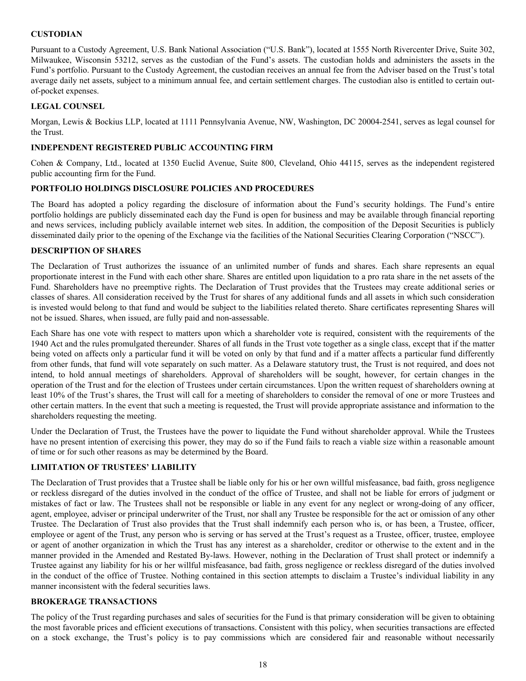# <span id="page-17-0"></span>**CUSTODIAN**

Pursuant to a Custody Agreement, U.S. Bank National Association ("U.S. Bank"), located at 1555 North Rivercenter Drive, Suite 302, Milwaukee, Wisconsin 53212, serves as the custodian of the Fund's assets. The custodian holds and administers the assets in the Fund's portfolio. Pursuant to the Custody Agreement, the custodian receives an annual fee from the Adviser based on the Trust's total average daily net assets, subject to a minimum annual fee, and certain settlement charges. The custodian also is entitled to certain outof-pocket expenses.

# **LEGAL COUNSEL**

Morgan, Lewis & Bockius LLP, located at 1111 Pennsylvania Avenue, NW, Washington, DC 20004-2541, serves as legal counsel for the Trust.

# **INDEPENDENT REGISTERED PUBLIC ACCOUNTING FIRM**

Cohen & Company, Ltd., located at 1350 Euclid Avenue, Suite 800, Cleveland, Ohio 44115, serves as the independent registered public accounting firm for the Fund.

### **PORTFOLIO HOLDINGS DISCLOSURE POLICIES AND PROCEDURES**

The Board has adopted a policy regarding the disclosure of information about the Fund's security holdings. The Fund's entire portfolio holdings are publicly disseminated each day the Fund is open for business and may be available through financial reporting and news services, including publicly available internet web sites. In addition, the composition of the Deposit Securities is publicly disseminated daily prior to the opening of the Exchange via the facilities of the National Securities Clearing Corporation ("NSCC").

# **DESCRIPTION OF SHARES**

The Declaration of Trust authorizes the issuance of an unlimited number of funds and shares. Each share represents an equal proportionate interest in the Fund with each other share. Shares are entitled upon liquidation to a pro rata share in the net assets of the Fund. Shareholders have no preemptive rights. The Declaration of Trust provides that the Trustees may create additional series or classes of shares. All consideration received by the Trust for shares of any additional funds and all assets in which such consideration is invested would belong to that fund and would be subject to the liabilities related thereto. Share certificates representing Shares will not be issued. Shares, when issued, are fully paid and non-assessable.

Each Share has one vote with respect to matters upon which a shareholder vote is required, consistent with the requirements of the 1940 Act and the rules promulgated thereunder. Shares of all funds in the Trust vote together as a single class, except that if the matter being voted on affects only a particular fund it will be voted on only by that fund and if a matter affects a particular fund differently from other funds, that fund will vote separately on such matter. As a Delaware statutory trust, the Trust is not required, and does not intend, to hold annual meetings of shareholders. Approval of shareholders will be sought, however, for certain changes in the operation of the Trust and for the election of Trustees under certain circumstances. Upon the written request of shareholders owning at least 10% of the Trust's shares, the Trust will call for a meeting of shareholders to consider the removal of one or more Trustees and other certain matters. In the event that such a meeting is requested, the Trust will provide appropriate assistance and information to the shareholders requesting the meeting.

Under the Declaration of Trust, the Trustees have the power to liquidate the Fund without shareholder approval. While the Trustees have no present intention of exercising this power, they may do so if the Fund fails to reach a viable size within a reasonable amount of time or for such other reasons as may be determined by the Board.

# **LIMITATION OF TRUSTEES' LIABILITY**

The Declaration of Trust provides that a Trustee shall be liable only for his or her own willful misfeasance, bad faith, gross negligence or reckless disregard of the duties involved in the conduct of the office of Trustee, and shall not be liable for errors of judgment or mistakes of fact or law. The Trustees shall not be responsible or liable in any event for any neglect or wrong-doing of any officer, agent, employee, adviser or principal underwriter of the Trust, nor shall any Trustee be responsible for the act or omission of any other Trustee. The Declaration of Trust also provides that the Trust shall indemnify each person who is, or has been, a Trustee, officer, employee or agent of the Trust, any person who is serving or has served at the Trust's request as a Trustee, officer, trustee, employee or agent of another organization in which the Trust has any interest as a shareholder, creditor or otherwise to the extent and in the manner provided in the Amended and Restated By-laws. However, nothing in the Declaration of Trust shall protect or indemnify a Trustee against any liability for his or her willful misfeasance, bad faith, gross negligence or reckless disregard of the duties involved in the conduct of the office of Trustee. Nothing contained in this section attempts to disclaim a Trustee's individual liability in any manner inconsistent with the federal securities laws.

### **BROKERAGE TRANSACTIONS**

The policy of the Trust regarding purchases and sales of securities for the Fund is that primary consideration will be given to obtaining the most favorable prices and efficient executions of transactions. Consistent with this policy, when securities transactions are effected on a stock exchange, the Trust's policy is to pay commissions which are considered fair and reasonable without necessarily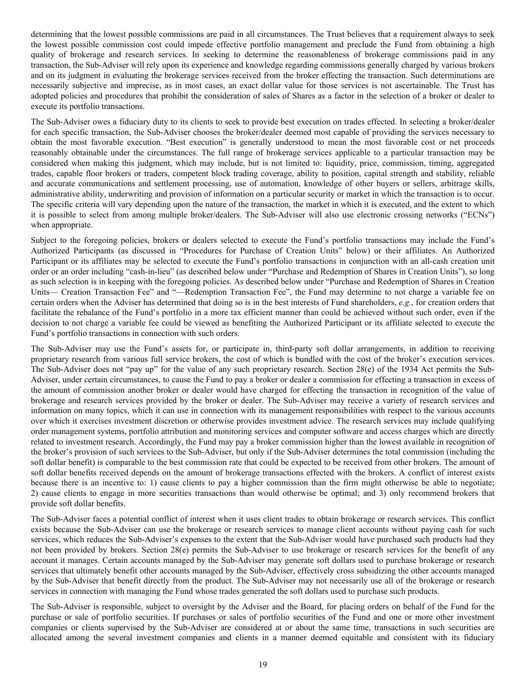determining that the lowest possible commissions are paid in all circumstances. The Trust believes that a requirement always to seek the lowest possible commission cost could impede effective portfolio management and preclude the Fund from obtaining a high quality of brokerage and research services. In seeking to determine the reasonableness of brokerage commissions paid in any transaction, the Sub-Adviser will rely upon its experience and knowledge regarding commissions generally charged by various brokers and on its judgment in evaluating the brokerage services received from the broker effecting the transaction. Such determinations are necessarily subjective and imprecise, as in most cases, an exact dollar value for those services is not ascertainable. The Trust has adopted policies and procedures that prohibit the consideration of sales of Shares as a factor in the selection of a broker or dealer to execute its portfolio transactions.

The Sub-Adviser owes a fiduciary duty to its clients to seek to provide best execution on trades effected. In selecting a broker/dealer for each specific transaction, the Sub-Adviser chooses the broker/dealer deemed most capable of providing the services necessary to obtain the most favorable execution. "Best execution" is generally understood to mean the most favorable cost or net proceeds reasonably obtainable under the circumstances. The full range of brokerage services applicable to a particular transaction may be considered when making this judgment, which may include, but is not limited to: liquidity, price, commission, timing, aggregated trades, capable floor brokers or traders, competent block trading coverage, ability to position, capital strength and stability, reliable and accurate communications and settlement processing, use of automation, knowledge of other buyers or sellers, arbitrage skills, administrative ability, underwriting and provision of information on a particular security or market in which the transaction is to occur. The specific criteria will vary depending upon the nature of the transaction, the market in which it is executed, and the extent to which it is possible to select from among multiple broker/dealers. The Sub-Adviser will also use electronic crossing networks ("ECNs") when appropriate.

Subject to the foregoing policies, brokers or dealers selected to execute the Fund's portfolio transactions may include the Fund's Authorized Participants (as discussed in "Procedures for Purchase of Creation Units" below) or their affiliates. An Authorized Participant or its affiliates may be selected to execute the Fund's portfolio transactions in conjunction with an all-cash creation unit order or an order including "cash-in-lieu" (as described below under "Purchase and Redemption of Shares in Creation Units"), so long as such selection is in keeping with the foregoing policies. As described below under "Purchase and Redemption of Shares in Creation Units— Creation Transaction Fee" and "—Redemption Transaction Fee", the Fund may determine to not charge a variable fee on certain orders when the Adviser has determined that doing so is in the best interests of Fund shareholders, *e.g.*, for creation orders that facilitate the rebalance of the Fund's portfolio in a more tax efficient manner than could be achieved without such order, even if the decision to not charge a variable fee could be viewed as benefiting the Authorized Participant or its affiliate selected to execute the Fund's portfolio transactions in connection with such orders.

The Sub-Adviser may use the Fund's assets for, or participate in, third-party soft dollar arrangements, in addition to receiving proprietary research from various full service brokers, the cost of which is bundled with the cost of the broker's execution services. The Sub-Adviser does not "pay up" for the value of any such proprietary research. Section 28(e) of the 1934 Act permits the Sub-Adviser, under certain circumstances, to cause the Fund to pay a broker or dealer a commission for effecting a transaction in excess of the amount of commission another broker or dealer would have charged for effecting the transaction in recognition of the value of brokerage and research services provided by the broker or dealer. The Sub-Adviser may receive a variety of research services and information on many topics, which it can use in connection with its management responsibilities with respect to the various accounts over which it exercises investment discretion or otherwise provides investment advice. The research services may include qualifying order management systems, portfolio attribution and monitoring services and computer software and access charges which are directly related to investment research. Accordingly, the Fund may pay a broker commission higher than the lowest available in recognition of the broker's provision of such services to the Sub-Adviser, but only if the Sub-Adviser determines the total commission (including the soft dollar benefit) is comparable to the best commission rate that could be expected to be received from other brokers. The amount of soft dollar benefits received depends on the amount of brokerage transactions effected with the brokers. A conflict of interest exists because there is an incentive to: 1) cause clients to pay a higher commission than the firm might otherwise be able to negotiate; 2) cause clients to engage in more securities transactions than would otherwise be optimal; and 3) only recommend brokers that provide soft dollar benefits.

The Sub-Adviser faces a potential conflict of interest when it uses client trades to obtain brokerage or research services. This conflict exists because the Sub-Adviser can use the brokerage or research services to manage client accounts without paying cash for such services, which reduces the Sub-Adviser's expenses to the extent that the Sub-Adviser would have purchased such products had they not been provided by brokers. Section 28(e) permits the Sub-Adviser to use brokerage or research services for the benefit of any account it manages. Certain accounts managed by the Sub-Adviser may generate soft dollars used to purchase brokerage or research services that ultimately benefit other accounts managed by the Sub-Adviser, effectively cross subsidizing the other accounts managed by the Sub-Adviser that benefit directly from the product. The Sub-Adviser may not necessarily use all of the brokerage or research services in connection with managing the Fund whose trades generated the soft dollars used to purchase such products.

The Sub-Adviser is responsible, subject to oversight by the Adviser and the Board, for placing orders on behalf of the Fund for the purchase or sale of portfolio securities. If purchases or sales of portfolio securities of the Fund and one or more other investment companies or clients supervised by the Sub-Adviser are considered at or about the same time, transactions in such securities are allocated among the several investment companies and clients in a manner deemed equitable and consistent with its fiduciary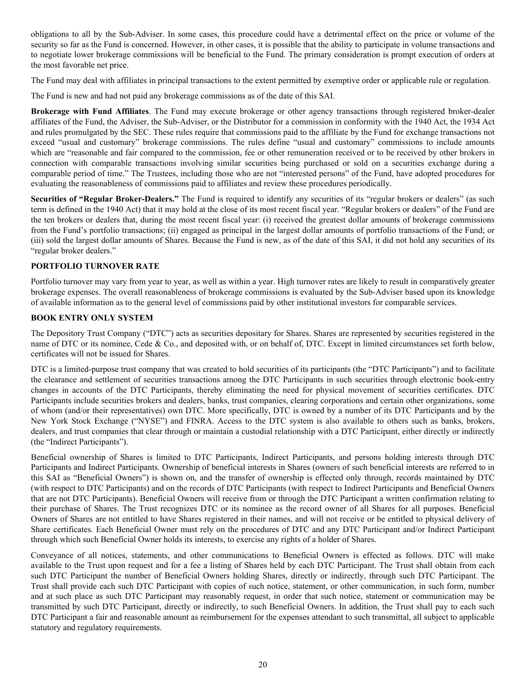<span id="page-19-0"></span>obligations to all by the Sub-Adviser. In some cases, this procedure could have a detrimental effect on the price or volume of the security so far as the Fund is concerned. However, in other cases, it is possible that the ability to participate in volume transactions and to negotiate lower brokerage commissions will be beneficial to the Fund. The primary consideration is prompt execution of orders at the most favorable net price.

The Fund may deal with affiliates in principal transactions to the extent permitted by exemptive order or applicable rule or regulation.

The Fund is new and had not paid any brokerage commissions as of the date of this SAI.

**Brokerage with Fund Affiliates**. The Fund may execute brokerage or other agency transactions through registered broker-dealer affiliates of the Fund, the Adviser, the Sub-Adviser, or the Distributor for a commission in conformity with the 1940 Act, the 1934 Act and rules promulgated by the SEC. These rules require that commissions paid to the affiliate by the Fund for exchange transactions not exceed "usual and customary" brokerage commissions. The rules define "usual and customary" commissions to include amounts which are "reasonable and fair compared to the commission, fee or other remuneration received or to be received by other brokers in connection with comparable transactions involving similar securities being purchased or sold on a securities exchange during a comparable period of time." The Trustees, including those who are not "interested persons" of the Fund, have adopted procedures for evaluating the reasonableness of commissions paid to affiliates and review these procedures periodically.

**Securities of "Regular Broker-Dealers."** The Fund is required to identify any securities of its "regular brokers or dealers" (as such term is defined in the 1940 Act) that it may hold at the close of its most recent fiscal year. "Regular brokers or dealers" of the Fund are the ten brokers or dealers that, during the most recent fiscal year: (i) received the greatest dollar amounts of brokerage commissions from the Fund's portfolio transactions; (ii) engaged as principal in the largest dollar amounts of portfolio transactions of the Fund; or (iii) sold the largest dollar amounts of Shares. Because the Fund is new, as of the date of this SAI, it did not hold any securities of its "regular broker dealers."

# **PORTFOLIO TURNOVER RATE**

Portfolio turnover may vary from year to year, as well as within a year. High turnover rates are likely to result in comparatively greater brokerage expenses. The overall reasonableness of brokerage commissions is evaluated by the Sub-Adviser based upon its knowledge of available information as to the general level of commissions paid by other institutional investors for comparable services.

# **BOOK ENTRY ONLY SYSTEM**

The Depository Trust Company ("DTC") acts as securities depositary for Shares. Shares are represented by securities registered in the name of DTC or its nominee, Cede & Co., and deposited with, or on behalf of, DTC. Except in limited circumstances set forth below, certificates will not be issued for Shares.

DTC is a limited-purpose trust company that was created to hold securities of its participants (the "DTC Participants") and to facilitate the clearance and settlement of securities transactions among the DTC Participants in such securities through electronic book-entry changes in accounts of the DTC Participants, thereby eliminating the need for physical movement of securities certificates. DTC Participants include securities brokers and dealers, banks, trust companies, clearing corporations and certain other organizations, some of whom (and/or their representatives) own DTC. More specifically, DTC is owned by a number of its DTC Participants and by the New York Stock Exchange ("NYSE") and FINRA. Access to the DTC system is also available to others such as banks, brokers, dealers, and trust companies that clear through or maintain a custodial relationship with a DTC Participant, either directly or indirectly (the "Indirect Participants").

Beneficial ownership of Shares is limited to DTC Participants, Indirect Participants, and persons holding interests through DTC Participants and Indirect Participants. Ownership of beneficial interests in Shares (owners of such beneficial interests are referred to in this SAI as "Beneficial Owners") is shown on, and the transfer of ownership is effected only through, records maintained by DTC (with respect to DTC Participants) and on the records of DTC Participants (with respect to Indirect Participants and Beneficial Owners that are not DTC Participants). Beneficial Owners will receive from or through the DTC Participant a written confirmation relating to their purchase of Shares. The Trust recognizes DTC or its nominee as the record owner of all Shares for all purposes. Beneficial Owners of Shares are not entitled to have Shares registered in their names, and will not receive or be entitled to physical delivery of Share certificates. Each Beneficial Owner must rely on the procedures of DTC and any DTC Participant and/or Indirect Participant through which such Beneficial Owner holds its interests, to exercise any rights of a holder of Shares.

Conveyance of all notices, statements, and other communications to Beneficial Owners is effected as follows. DTC will make available to the Trust upon request and for a fee a listing of Shares held by each DTC Participant. The Trust shall obtain from each such DTC Participant the number of Beneficial Owners holding Shares, directly or indirectly, through such DTC Participant. The Trust shall provide each such DTC Participant with copies of such notice, statement, or other communication, in such form, number and at such place as such DTC Participant may reasonably request, in order that such notice, statement or communication may be transmitted by such DTC Participant, directly or indirectly, to such Beneficial Owners. In addition, the Trust shall pay to each such DTC Participant a fair and reasonable amount as reimbursement for the expenses attendant to such transmittal, all subject to applicable statutory and regulatory requirements.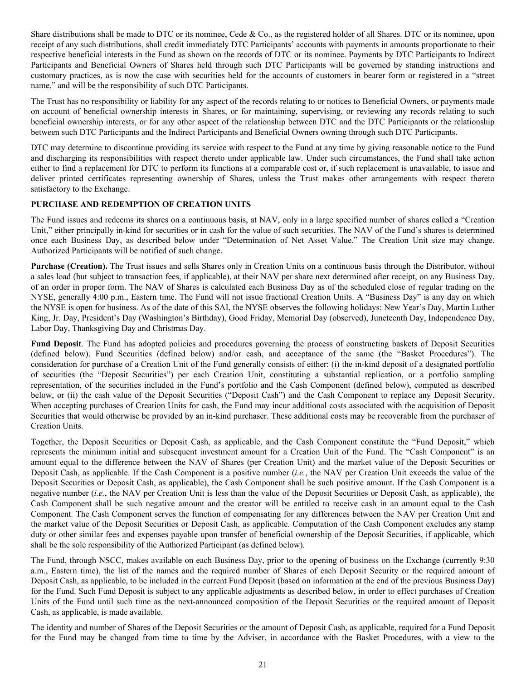<span id="page-20-0"></span>Share distributions shall be made to DTC or its nominee, Cede & Co., as the registered holder of all Shares. DTC or its nominee, upon receipt of any such distributions, shall credit immediately DTC Participants' accounts with payments in amounts proportionate to their respective beneficial interests in the Fund as shown on the records of DTC or its nominee. Payments by DTC Participants to Indirect Participants and Beneficial Owners of Shares held through such DTC Participants will be governed by standing instructions and customary practices, as is now the case with securities held for the accounts of customers in bearer form or registered in a "street name," and will be the responsibility of such DTC Participants.

The Trust has no responsibility or liability for any aspect of the records relating to or notices to Beneficial Owners, or payments made on account of beneficial ownership interests in Shares, or for maintaining, supervising, or reviewing any records relating to such beneficial ownership interests, or for any other aspect of the relationship between DTC and the DTC Participants or the relationship between such DTC Participants and the Indirect Participants and Beneficial Owners owning through such DTC Participants.

DTC may determine to discontinue providing its service with respect to the Fund at any time by giving reasonable notice to the Fund and discharging its responsibilities with respect thereto under applicable law. Under such circumstances, the Fund shall take action either to find a replacement for DTC to perform its functions at a comparable cost or, if such replacement is unavailable, to issue and deliver printed certificates representing ownership of Shares, unless the Trust makes other arrangements with respect thereto satisfactory to the Exchange.

# **PURCHASE AND REDEMPTION OF CREATION UNITS**

The Fund issues and redeems its shares on a continuous basis, at NAV, only in a large specified number of shares called a "Creation Unit," either principally in-kind for securities or in cash for the value of such securities. The NAV of the Fund's shares is determined once each Business Day, as described below under "Determination of Net Asset Value." The Creation Unit size may change. Authorized Participants will be notified of such change.

**Purchase (Creation).** The Trust issues and sells Shares only in Creation Units on a continuous basis through the Distributor, without a sales load (but subject to transaction fees, if applicable), at their NAV per share next determined after receipt, on any Business Day, of an order in proper form. The NAV of Shares is calculated each Business Day as of the scheduled close of regular trading on the NYSE, generally 4:00 p.m., Eastern time. The Fund will not issue fractional Creation Units. A "Business Day" is any day on which the NYSE is open for business. As of the date of this SAI, the NYSE observes the following holidays: New Year's Day, Martin Luther King, Jr. Day, President's Day (Washington's Birthday), Good Friday, Memorial Day (observed), Juneteenth Day, Independence Day, Labor Day, Thanksgiving Day and Christmas Day.

**Fund Deposit**. The Fund has adopted policies and procedures governing the process of constructing baskets of Deposit Securities (defined below), Fund Securities (defined below) and/or cash, and acceptance of the same (the "Basket Procedures"). The consideration for purchase of a Creation Unit of the Fund generally consists of either: (i) the in-kind deposit of a designated portfolio of securities (the "Deposit Securities") per each Creation Unit, constituting a substantial replication, or a portfolio sampling representation, of the securities included in the Fund's portfolio and the Cash Component (defined below), computed as described below, or (ii) the cash value of the Deposit Securities ("Deposit Cash") and the Cash Component to replace any Deposit Security. When accepting purchases of Creation Units for cash, the Fund may incur additional costs associated with the acquisition of Deposit Securities that would otherwise be provided by an in-kind purchaser. These additional costs may be recoverable from the purchaser of Creation Units.

Together, the Deposit Securities or Deposit Cash, as applicable, and the Cash Component constitute the "Fund Deposit," which represents the minimum initial and subsequent investment amount for a Creation Unit of the Fund. The "Cash Component" is an amount equal to the difference between the NAV of Shares (per Creation Unit) and the market value of the Deposit Securities or Deposit Cash, as applicable. If the Cash Component is a positive number (*i.e.*, the NAV per Creation Unit exceeds the value of the Deposit Securities or Deposit Cash, as applicable), the Cash Component shall be such positive amount. If the Cash Component is a negative number (*i.e.*, the NAV per Creation Unit is less than the value of the Deposit Securities or Deposit Cash, as applicable), the Cash Component shall be such negative amount and the creator will be entitled to receive cash in an amount equal to the Cash Component. The Cash Component serves the function of compensating for any differences between the NAV per Creation Unit and the market value of the Deposit Securities or Deposit Cash, as applicable. Computation of the Cash Component excludes any stamp duty or other similar fees and expenses payable upon transfer of beneficial ownership of the Deposit Securities, if applicable, which shall be the sole responsibility of the Authorized Participant (as defined below).

The Fund, through NSCC, makes available on each Business Day, prior to the opening of business on the Exchange (currently 9:30 a.m., Eastern time), the list of the names and the required number of Shares of each Deposit Security or the required amount of Deposit Cash, as applicable, to be included in the current Fund Deposit (based on information at the end of the previous Business Day) for the Fund. Such Fund Deposit is subject to any applicable adjustments as described below, in order to effect purchases of Creation Units of the Fund until such time as the next-announced composition of the Deposit Securities or the required amount of Deposit Cash, as applicable, is made available.

The identity and number of Shares of the Deposit Securities or the amount of Deposit Cash, as applicable, required for a Fund Deposit for the Fund may be changed from time to time by the Adviser, in accordance with the Basket Procedures, with a view to the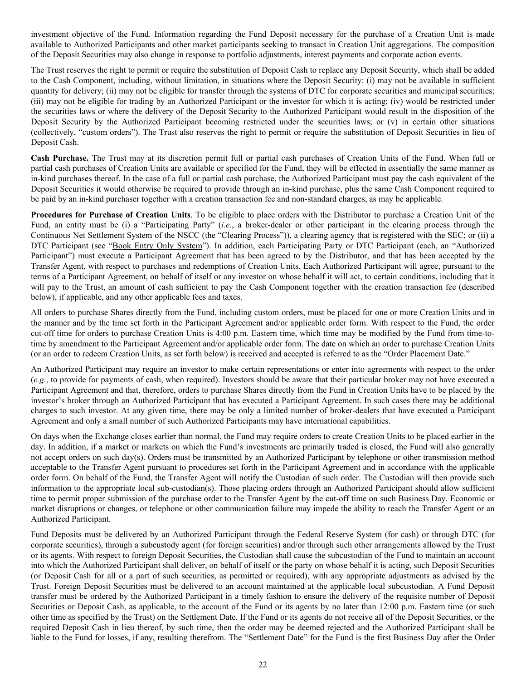investment objective of the Fund. Information regarding the Fund Deposit necessary for the purchase of a Creation Unit is made available to Authorized Participants and other market participants seeking to transact in Creation Unit aggregations. The composition of the Deposit Securities may also change in response to portfolio adjustments, interest payments and corporate action events.

The Trust reserves the right to permit or require the substitution of Deposit Cash to replace any Deposit Security, which shall be added to the Cash Component, including, without limitation, in situations where the Deposit Security: (i) may not be available in sufficient quantity for delivery; (ii) may not be eligible for transfer through the systems of DTC for corporate securities and municipal securities; (iii) may not be eligible for trading by an Authorized Participant or the investor for which it is acting; (iv) would be restricted under the securities laws or where the delivery of the Deposit Security to the Authorized Participant would result in the disposition of the Deposit Security by the Authorized Participant becoming restricted under the securities laws; or (v) in certain other situations (collectively, "custom orders"). The Trust also reserves the right to permit or require the substitution of Deposit Securities in lieu of Deposit Cash.

**Cash Purchase.** The Trust may at its discretion permit full or partial cash purchases of Creation Units of the Fund. When full or partial cash purchases of Creation Units are available or specified for the Fund, they will be effected in essentially the same manner as in-kind purchases thereof. In the case of a full or partial cash purchase, the Authorized Participant must pay the cash equivalent of the Deposit Securities it would otherwise be required to provide through an in-kind purchase, plus the same Cash Component required to be paid by an in-kind purchaser together with a creation transaction fee and non-standard charges, as may be applicable.

**Procedures for Purchase of Creation Units**. To be eligible to place orders with the Distributor to purchase a Creation Unit of the Fund, an entity must be (i) a "Participating Party" (*i.e.*, a broker-dealer or other participant in the clearing process through the Continuous Net Settlement System of the NSCC (the "Clearing Process")), a clearing agency that is registered with the SEC; or (ii) a DTC Participant (see "Book Entry Only System"). In addition, each Participating Party or DTC Participant (each, an "Authorized Participant") must execute a Participant Agreement that has been agreed to by the Distributor, and that has been accepted by the Transfer Agent, with respect to purchases and redemptions of Creation Units. Each Authorized Participant will agree, pursuant to the terms of a Participant Agreement, on behalf of itself or any investor on whose behalf it will act, to certain conditions, including that it will pay to the Trust, an amount of cash sufficient to pay the Cash Component together with the creation transaction fee (described below), if applicable, and any other applicable fees and taxes.

All orders to purchase Shares directly from the Fund, including custom orders, must be placed for one or more Creation Units and in the manner and by the time set forth in the Participant Agreement and/or applicable order form. With respect to the Fund, the order cut-off time for orders to purchase Creation Units is 4:00 p.m. Eastern time, which time may be modified by the Fund from time-totime by amendment to the Participant Agreement and/or applicable order form. The date on which an order to purchase Creation Units (or an order to redeem Creation Units, as set forth below) is received and accepted is referred to as the "Order Placement Date."

An Authorized Participant may require an investor to make certain representations or enter into agreements with respect to the order (*e.g.*, to provide for payments of cash, when required). Investors should be aware that their particular broker may not have executed a Participant Agreement and that, therefore, orders to purchase Shares directly from the Fund in Creation Units have to be placed by the investor's broker through an Authorized Participant that has executed a Participant Agreement. In such cases there may be additional charges to such investor. At any given time, there may be only a limited number of broker-dealers that have executed a Participant Agreement and only a small number of such Authorized Participants may have international capabilities.

On days when the Exchange closes earlier than normal, the Fund may require orders to create Creation Units to be placed earlier in the day. In addition, if a market or markets on which the Fund's investments are primarily traded is closed, the Fund will also generally not accept orders on such day(s). Orders must be transmitted by an Authorized Participant by telephone or other transmission method acceptable to the Transfer Agent pursuant to procedures set forth in the Participant Agreement and in accordance with the applicable order form. On behalf of the Fund, the Transfer Agent will notify the Custodian of such order. The Custodian will then provide such information to the appropriate local sub-custodian(s). Those placing orders through an Authorized Participant should allow sufficient time to permit proper submission of the purchase order to the Transfer Agent by the cut-off time on such Business Day. Economic or market disruptions or changes, or telephone or other communication failure may impede the ability to reach the Transfer Agent or an Authorized Participant.

Fund Deposits must be delivered by an Authorized Participant through the Federal Reserve System (for cash) or through DTC (for corporate securities), through a subcustody agent (for foreign securities) and/or through such other arrangements allowed by the Trust or its agents. With respect to foreign Deposit Securities, the Custodian shall cause the subcustodian of the Fund to maintain an account into which the Authorized Participant shall deliver, on behalf of itself or the party on whose behalf it is acting, such Deposit Securities (or Deposit Cash for all or a part of such securities, as permitted or required), with any appropriate adjustments as advised by the Trust. Foreign Deposit Securities must be delivered to an account maintained at the applicable local subcustodian. A Fund Deposit transfer must be ordered by the Authorized Participant in a timely fashion to ensure the delivery of the requisite number of Deposit Securities or Deposit Cash, as applicable, to the account of the Fund or its agents by no later than 12:00 p.m. Eastern time (or such other time as specified by the Trust) on the Settlement Date. If the Fund or its agents do not receive all of the Deposit Securities, or the required Deposit Cash in lieu thereof, by such time, then the order may be deemed rejected and the Authorized Participant shall be liable to the Fund for losses, if any, resulting therefrom. The "Settlement Date" for the Fund is the first Business Day after the Order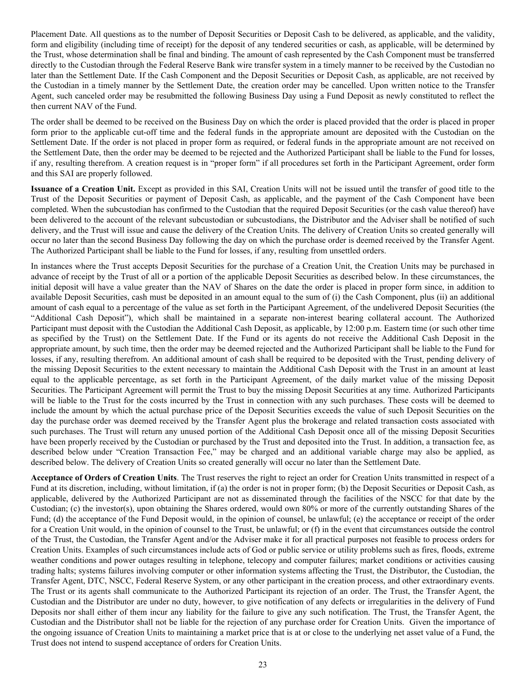Placement Date. All questions as to the number of Deposit Securities or Deposit Cash to be delivered, as applicable, and the validity, form and eligibility (including time of receipt) for the deposit of any tendered securities or cash, as applicable, will be determined by the Trust, whose determination shall be final and binding. The amount of cash represented by the Cash Component must be transferred directly to the Custodian through the Federal Reserve Bank wire transfer system in a timely manner to be received by the Custodian no later than the Settlement Date. If the Cash Component and the Deposit Securities or Deposit Cash, as applicable, are not received by the Custodian in a timely manner by the Settlement Date, the creation order may be cancelled. Upon written notice to the Transfer Agent, such canceled order may be resubmitted the following Business Day using a Fund Deposit as newly constituted to reflect the then current NAV of the Fund.

The order shall be deemed to be received on the Business Day on which the order is placed provided that the order is placed in proper form prior to the applicable cut-off time and the federal funds in the appropriate amount are deposited with the Custodian on the Settlement Date. If the order is not placed in proper form as required, or federal funds in the appropriate amount are not received on the Settlement Date, then the order may be deemed to be rejected and the Authorized Participant shall be liable to the Fund for losses, if any, resulting therefrom. A creation request is in "proper form" if all procedures set forth in the Participant Agreement, order form and this SAI are properly followed.

**Issuance of a Creation Unit.** Except as provided in this SAI, Creation Units will not be issued until the transfer of good title to the Trust of the Deposit Securities or payment of Deposit Cash, as applicable, and the payment of the Cash Component have been completed. When the subcustodian has confirmed to the Custodian that the required Deposit Securities (or the cash value thereof) have been delivered to the account of the relevant subcustodian or subcustodians, the Distributor and the Adviser shall be notified of such delivery, and the Trust will issue and cause the delivery of the Creation Units. The delivery of Creation Units so created generally will occur no later than the second Business Day following the day on which the purchase order is deemed received by the Transfer Agent. The Authorized Participant shall be liable to the Fund for losses, if any, resulting from unsettled orders.

In instances where the Trust accepts Deposit Securities for the purchase of a Creation Unit, the Creation Units may be purchased in advance of receipt by the Trust of all or a portion of the applicable Deposit Securities as described below. In these circumstances, the initial deposit will have a value greater than the NAV of Shares on the date the order is placed in proper form since, in addition to available Deposit Securities, cash must be deposited in an amount equal to the sum of (i) the Cash Component, plus (ii) an additional amount of cash equal to a percentage of the value as set forth in the Participant Agreement, of the undelivered Deposit Securities (the "Additional Cash Deposit"), which shall be maintained in a separate non-interest bearing collateral account. The Authorized Participant must deposit with the Custodian the Additional Cash Deposit, as applicable, by 12:00 p.m. Eastern time (or such other time as specified by the Trust) on the Settlement Date. If the Fund or its agents do not receive the Additional Cash Deposit in the appropriate amount, by such time, then the order may be deemed rejected and the Authorized Participant shall be liable to the Fund for losses, if any, resulting therefrom. An additional amount of cash shall be required to be deposited with the Trust, pending delivery of the missing Deposit Securities to the extent necessary to maintain the Additional Cash Deposit with the Trust in an amount at least equal to the applicable percentage, as set forth in the Participant Agreement, of the daily market value of the missing Deposit Securities. The Participant Agreement will permit the Trust to buy the missing Deposit Securities at any time. Authorized Participants will be liable to the Trust for the costs incurred by the Trust in connection with any such purchases. These costs will be deemed to include the amount by which the actual purchase price of the Deposit Securities exceeds the value of such Deposit Securities on the day the purchase order was deemed received by the Transfer Agent plus the brokerage and related transaction costs associated with such purchases. The Trust will return any unused portion of the Additional Cash Deposit once all of the missing Deposit Securities have been properly received by the Custodian or purchased by the Trust and deposited into the Trust. In addition, a transaction fee, as described below under "Creation Transaction Fee," may be charged and an additional variable charge may also be applied, as described below. The delivery of Creation Units so created generally will occur no later than the Settlement Date.

**Acceptance of Orders of Creation Units**. The Trust reserves the right to reject an order for Creation Units transmitted in respect of a Fund at its discretion, including, without limitation, if (a) the order is not in proper form; (b) the Deposit Securities or Deposit Cash, as applicable, delivered by the Authorized Participant are not as disseminated through the facilities of the NSCC for that date by the Custodian; (c) the investor(s), upon obtaining the Shares ordered, would own 80% or more of the currently outstanding Shares of the Fund; (d) the acceptance of the Fund Deposit would, in the opinion of counsel, be unlawful; (e) the acceptance or receipt of the order for a Creation Unit would, in the opinion of counsel to the Trust, be unlawful; or (f) in the event that circumstances outside the control of the Trust, the Custodian, the Transfer Agent and/or the Adviser make it for all practical purposes not feasible to process orders for Creation Units. Examples of such circumstances include acts of God or public service or utility problems such as fires, floods, extreme weather conditions and power outages resulting in telephone, telecopy and computer failures; market conditions or activities causing trading halts; systems failures involving computer or other information systems affecting the Trust, the Distributor, the Custodian, the Transfer Agent, DTC, NSCC, Federal Reserve System, or any other participant in the creation process, and other extraordinary events. The Trust or its agents shall communicate to the Authorized Participant its rejection of an order. The Trust, the Transfer Agent, the Custodian and the Distributor are under no duty, however, to give notification of any defects or irregularities in the delivery of Fund Deposits nor shall either of them incur any liability for the failure to give any such notification. The Trust, the Transfer Agent, the Custodian and the Distributor shall not be liable for the rejection of any purchase order for Creation Units. Given the importance of the ongoing issuance of Creation Units to maintaining a market price that is at or close to the underlying net asset value of a Fund, the Trust does not intend to suspend acceptance of orders for Creation Units.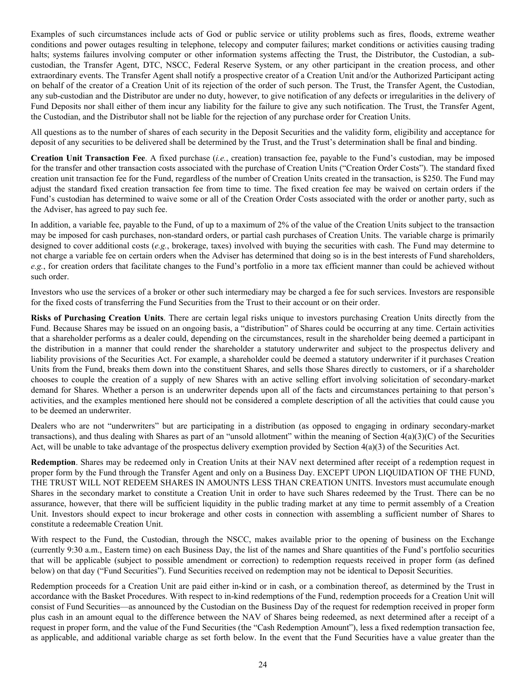Examples of such circumstances include acts of God or public service or utility problems such as fires, floods, extreme weather conditions and power outages resulting in telephone, telecopy and computer failures; market conditions or activities causing trading halts; systems failures involving computer or other information systems affecting the Trust, the Distributor, the Custodian, a subcustodian, the Transfer Agent, DTC, NSCC, Federal Reserve System, or any other participant in the creation process, and other extraordinary events. The Transfer Agent shall notify a prospective creator of a Creation Unit and/or the Authorized Participant acting on behalf of the creator of a Creation Unit of its rejection of the order of such person. The Trust, the Transfer Agent, the Custodian, any sub-custodian and the Distributor are under no duty, however, to give notification of any defects or irregularities in the delivery of Fund Deposits nor shall either of them incur any liability for the failure to give any such notification. The Trust, the Transfer Agent, the Custodian, and the Distributor shall not be liable for the rejection of any purchase order for Creation Units.

All questions as to the number of shares of each security in the Deposit Securities and the validity form, eligibility and acceptance for deposit of any securities to be delivered shall be determined by the Trust, and the Trust's determination shall be final and binding.

**Creation Unit Transaction Fee**. A fixed purchase (*i.e.*, creation) transaction fee, payable to the Fund's custodian, may be imposed for the transfer and other transaction costs associated with the purchase of Creation Units ("Creation Order Costs"). The standard fixed creation unit transaction fee for the Fund, regardless of the number of Creation Units created in the transaction, is \$250. The Fund may adjust the standard fixed creation transaction fee from time to time. The fixed creation fee may be waived on certain orders if the Fund's custodian has determined to waive some or all of the Creation Order Costs associated with the order or another party, such as the Adviser, has agreed to pay such fee.

In addition, a variable fee, payable to the Fund, of up to a maximum of 2% of the value of the Creation Units subject to the transaction may be imposed for cash purchases, non-standard orders, or partial cash purchases of Creation Units. The variable charge is primarily designed to cover additional costs (*e.g.*, brokerage, taxes) involved with buying the securities with cash. The Fund may determine to not charge a variable fee on certain orders when the Adviser has determined that doing so is in the best interests of Fund shareholders, *e.g.*, for creation orders that facilitate changes to the Fund's portfolio in a more tax efficient manner than could be achieved without such order.

Investors who use the services of a broker or other such intermediary may be charged a fee for such services. Investors are responsible for the fixed costs of transferring the Fund Securities from the Trust to their account or on their order.

**Risks of Purchasing Creation Units**. There are certain legal risks unique to investors purchasing Creation Units directly from the Fund. Because Shares may be issued on an ongoing basis, a "distribution" of Shares could be occurring at any time. Certain activities that a shareholder performs as a dealer could, depending on the circumstances, result in the shareholder being deemed a participant in the distribution in a manner that could render the shareholder a statutory underwriter and subject to the prospectus delivery and liability provisions of the Securities Act. For example, a shareholder could be deemed a statutory underwriter if it purchases Creation Units from the Fund, breaks them down into the constituent Shares, and sells those Shares directly to customers, or if a shareholder chooses to couple the creation of a supply of new Shares with an active selling effort involving solicitation of secondary-market demand for Shares. Whether a person is an underwriter depends upon all of the facts and circumstances pertaining to that person's activities, and the examples mentioned here should not be considered a complete description of all the activities that could cause you to be deemed an underwriter.

Dealers who are not "underwriters" but are participating in a distribution (as opposed to engaging in ordinary secondary-market transactions), and thus dealing with Shares as part of an "unsold allotment" within the meaning of Section  $4(a)(3)(C)$  of the Securities Act, will be unable to take advantage of the prospectus delivery exemption provided by Section 4(a)(3) of the Securities Act.

**Redemption**. Shares may be redeemed only in Creation Units at their NAV next determined after receipt of a redemption request in proper form by the Fund through the Transfer Agent and only on a Business Day. EXCEPT UPON LIQUIDATION OF THE FUND, THE TRUST WILL NOT REDEEM SHARES IN AMOUNTS LESS THAN CREATION UNITS. Investors must accumulate enough Shares in the secondary market to constitute a Creation Unit in order to have such Shares redeemed by the Trust. There can be no assurance, however, that there will be sufficient liquidity in the public trading market at any time to permit assembly of a Creation Unit. Investors should expect to incur brokerage and other costs in connection with assembling a sufficient number of Shares to constitute a redeemable Creation Unit.

With respect to the Fund, the Custodian, through the NSCC, makes available prior to the opening of business on the Exchange (currently 9:30 a.m., Eastern time) on each Business Day, the list of the names and Share quantities of the Fund's portfolio securities that will be applicable (subject to possible amendment or correction) to redemption requests received in proper form (as defined below) on that day ("Fund Securities"). Fund Securities received on redemption may not be identical to Deposit Securities.

Redemption proceeds for a Creation Unit are paid either in-kind or in cash, or a combination thereof, as determined by the Trust in accordance with the Basket Procedures. With respect to in-kind redemptions of the Fund, redemption proceeds for a Creation Unit will consist of Fund Securities—as announced by the Custodian on the Business Day of the request for redemption received in proper form plus cash in an amount equal to the difference between the NAV of Shares being redeemed, as next determined after a receipt of a request in proper form, and the value of the Fund Securities (the "Cash Redemption Amount"), less a fixed redemption transaction fee, as applicable, and additional variable charge as set forth below. In the event that the Fund Securities have a value greater than the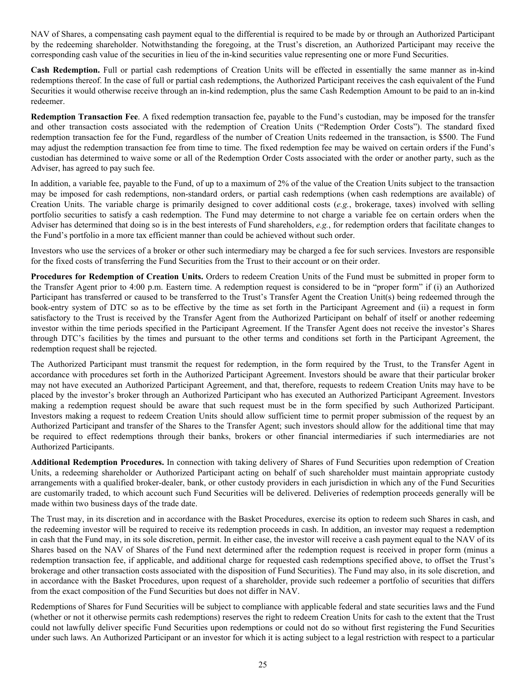NAV of Shares, a compensating cash payment equal to the differential is required to be made by or through an Authorized Participant by the redeeming shareholder. Notwithstanding the foregoing, at the Trust's discretion, an Authorized Participant may receive the corresponding cash value of the securities in lieu of the in-kind securities value representing one or more Fund Securities.

**Cash Redemption.** Full or partial cash redemptions of Creation Units will be effected in essentially the same manner as in-kind redemptions thereof. In the case of full or partial cash redemptions, the Authorized Participant receives the cash equivalent of the Fund Securities it would otherwise receive through an in-kind redemption, plus the same Cash Redemption Amount to be paid to an in-kind redeemer.

**Redemption Transaction Fee**. A fixed redemption transaction fee, payable to the Fund's custodian, may be imposed for the transfer and other transaction costs associated with the redemption of Creation Units ("Redemption Order Costs"). The standard fixed redemption transaction fee for the Fund, regardless of the number of Creation Units redeemed in the transaction, is \$500. The Fund may adjust the redemption transaction fee from time to time. The fixed redemption fee may be waived on certain orders if the Fund's custodian has determined to waive some or all of the Redemption Order Costs associated with the order or another party, such as the Adviser, has agreed to pay such fee.

In addition, a variable fee, payable to the Fund, of up to a maximum of 2% of the value of the Creation Units subject to the transaction may be imposed for cash redemptions, non-standard orders, or partial cash redemptions (when cash redemptions are available) of Creation Units. The variable charge is primarily designed to cover additional costs (*e.g.*, brokerage, taxes) involved with selling portfolio securities to satisfy a cash redemption. The Fund may determine to not charge a variable fee on certain orders when the Adviser has determined that doing so is in the best interests of Fund shareholders, *e.g.*, for redemption orders that facilitate changes to the Fund's portfolio in a more tax efficient manner than could be achieved without such order.

Investors who use the services of a broker or other such intermediary may be charged a fee for such services. Investors are responsible for the fixed costs of transferring the Fund Securities from the Trust to their account or on their order.

**Procedures for Redemption of Creation Units.** Orders to redeem Creation Units of the Fund must be submitted in proper form to the Transfer Agent prior to 4:00 p.m. Eastern time. A redemption request is considered to be in "proper form" if (i) an Authorized Participant has transferred or caused to be transferred to the Trust's Transfer Agent the Creation Unit(s) being redeemed through the book-entry system of DTC so as to be effective by the time as set forth in the Participant Agreement and (ii) a request in form satisfactory to the Trust is received by the Transfer Agent from the Authorized Participant on behalf of itself or another redeeming investor within the time periods specified in the Participant Agreement. If the Transfer Agent does not receive the investor's Shares through DTC's facilities by the times and pursuant to the other terms and conditions set forth in the Participant Agreement, the redemption request shall be rejected.

The Authorized Participant must transmit the request for redemption, in the form required by the Trust, to the Transfer Agent in accordance with procedures set forth in the Authorized Participant Agreement. Investors should be aware that their particular broker may not have executed an Authorized Participant Agreement, and that, therefore, requests to redeem Creation Units may have to be placed by the investor's broker through an Authorized Participant who has executed an Authorized Participant Agreement. Investors making a redemption request should be aware that such request must be in the form specified by such Authorized Participant. Investors making a request to redeem Creation Units should allow sufficient time to permit proper submission of the request by an Authorized Participant and transfer of the Shares to the Transfer Agent; such investors should allow for the additional time that may be required to effect redemptions through their banks, brokers or other financial intermediaries if such intermediaries are not Authorized Participants.

**Additional Redemption Procedures.** In connection with taking delivery of Shares of Fund Securities upon redemption of Creation Units, a redeeming shareholder or Authorized Participant acting on behalf of such shareholder must maintain appropriate custody arrangements with a qualified broker-dealer, bank, or other custody providers in each jurisdiction in which any of the Fund Securities are customarily traded, to which account such Fund Securities will be delivered. Deliveries of redemption proceeds generally will be made within two business days of the trade date.

The Trust may, in its discretion and in accordance with the Basket Procedures, exercise its option to redeem such Shares in cash, and the redeeming investor will be required to receive its redemption proceeds in cash. In addition, an investor may request a redemption in cash that the Fund may, in its sole discretion, permit. In either case, the investor will receive a cash payment equal to the NAV of its Shares based on the NAV of Shares of the Fund next determined after the redemption request is received in proper form (minus a redemption transaction fee, if applicable, and additional charge for requested cash redemptions specified above, to offset the Trust's brokerage and other transaction costs associated with the disposition of Fund Securities). The Fund may also, in its sole discretion, and in accordance with the Basket Procedures, upon request of a shareholder, provide such redeemer a portfolio of securities that differs from the exact composition of the Fund Securities but does not differ in NAV.

Redemptions of Shares for Fund Securities will be subject to compliance with applicable federal and state securities laws and the Fund (whether or not it otherwise permits cash redemptions) reserves the right to redeem Creation Units for cash to the extent that the Trust could not lawfully deliver specific Fund Securities upon redemptions or could not do so without first registering the Fund Securities under such laws. An Authorized Participant or an investor for which it is acting subject to a legal restriction with respect to a particular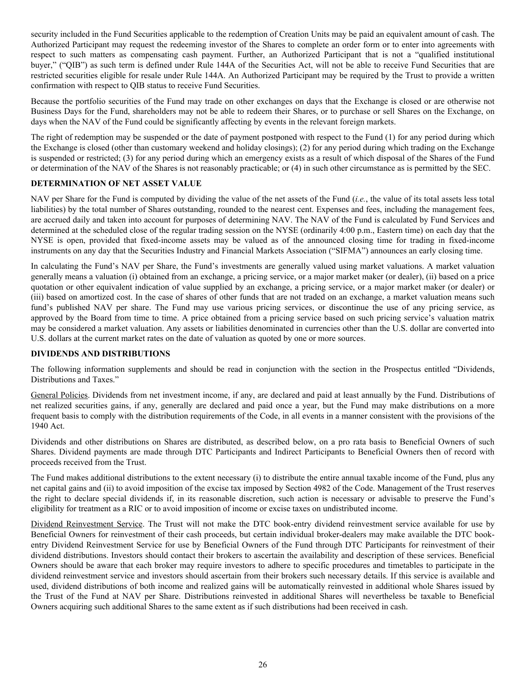<span id="page-25-0"></span>security included in the Fund Securities applicable to the redemption of Creation Units may be paid an equivalent amount of cash. The Authorized Participant may request the redeeming investor of the Shares to complete an order form or to enter into agreements with respect to such matters as compensating cash payment. Further, an Authorized Participant that is not a "qualified institutional buyer," ("QIB") as such term is defined under Rule 144A of the Securities Act, will not be able to receive Fund Securities that are restricted securities eligible for resale under Rule 144A. An Authorized Participant may be required by the Trust to provide a written confirmation with respect to QIB status to receive Fund Securities.

Because the portfolio securities of the Fund may trade on other exchanges on days that the Exchange is closed or are otherwise not Business Days for the Fund, shareholders may not be able to redeem their Shares, or to purchase or sell Shares on the Exchange, on days when the NAV of the Fund could be significantly affecting by events in the relevant foreign markets.

The right of redemption may be suspended or the date of payment postponed with respect to the Fund (1) for any period during which the Exchange is closed (other than customary weekend and holiday closings); (2) for any period during which trading on the Exchange is suspended or restricted; (3) for any period during which an emergency exists as a result of which disposal of the Shares of the Fund or determination of the NAV of the Shares is not reasonably practicable; or (4) in such other circumstance as is permitted by the SEC.

# **DETERMINATION OF NET ASSET VALUE**

NAV per Share for the Fund is computed by dividing the value of the net assets of the Fund (*i.e.*, the value of its total assets less total liabilities) by the total number of Shares outstanding, rounded to the nearest cent. Expenses and fees, including the management fees, are accrued daily and taken into account for purposes of determining NAV. The NAV of the Fund is calculated by Fund Services and determined at the scheduled close of the regular trading session on the NYSE (ordinarily 4:00 p.m., Eastern time) on each day that the NYSE is open, provided that fixed-income assets may be valued as of the announced closing time for trading in fixed-income instruments on any day that the Securities Industry and Financial Markets Association ("SIFMA") announces an early closing time.

In calculating the Fund's NAV per Share, the Fund's investments are generally valued using market valuations. A market valuation generally means a valuation (i) obtained from an exchange, a pricing service, or a major market maker (or dealer), (ii) based on a price quotation or other equivalent indication of value supplied by an exchange, a pricing service, or a major market maker (or dealer) or (iii) based on amortized cost. In the case of shares of other funds that are not traded on an exchange, a market valuation means such fund's published NAV per share. The Fund may use various pricing services, or discontinue the use of any pricing service, as approved by the Board from time to time. A price obtained from a pricing service based on such pricing service's valuation matrix may be considered a market valuation. Any assets or liabilities denominated in currencies other than the U.S. dollar are converted into U.S. dollars at the current market rates on the date of valuation as quoted by one or more sources.

# **DIVIDENDS AND DISTRIBUTIONS**

The following information supplements and should be read in conjunction with the section in the Prospectus entitled "Dividends, Distributions and Taxes."

General Policies. Dividends from net investment income, if any, are declared and paid at least annually by the Fund. Distributions of net realized securities gains, if any, generally are declared and paid once a year, but the Fund may make distributions on a more frequent basis to comply with the distribution requirements of the Code, in all events in a manner consistent with the provisions of the 1940 Act.

Dividends and other distributions on Shares are distributed, as described below, on a pro rata basis to Beneficial Owners of such Shares. Dividend payments are made through DTC Participants and Indirect Participants to Beneficial Owners then of record with proceeds received from the Trust.

The Fund makes additional distributions to the extent necessary (i) to distribute the entire annual taxable income of the Fund, plus any net capital gains and (ii) to avoid imposition of the excise tax imposed by Section 4982 of the Code. Management of the Trust reserves the right to declare special dividends if, in its reasonable discretion, such action is necessary or advisable to preserve the Fund's eligibility for treatment as a RIC or to avoid imposition of income or excise taxes on undistributed income.

Dividend Reinvestment Service. The Trust will not make the DTC book-entry dividend reinvestment service available for use by Beneficial Owners for reinvestment of their cash proceeds, but certain individual broker-dealers may make available the DTC bookentry Dividend Reinvestment Service for use by Beneficial Owners of the Fund through DTC Participants for reinvestment of their dividend distributions. Investors should contact their brokers to ascertain the availability and description of these services. Beneficial Owners should be aware that each broker may require investors to adhere to specific procedures and timetables to participate in the dividend reinvestment service and investors should ascertain from their brokers such necessary details. If this service is available and used, dividend distributions of both income and realized gains will be automatically reinvested in additional whole Shares issued by the Trust of the Fund at NAV per Share. Distributions reinvested in additional Shares will nevertheless be taxable to Beneficial Owners acquiring such additional Shares to the same extent as if such distributions had been received in cash.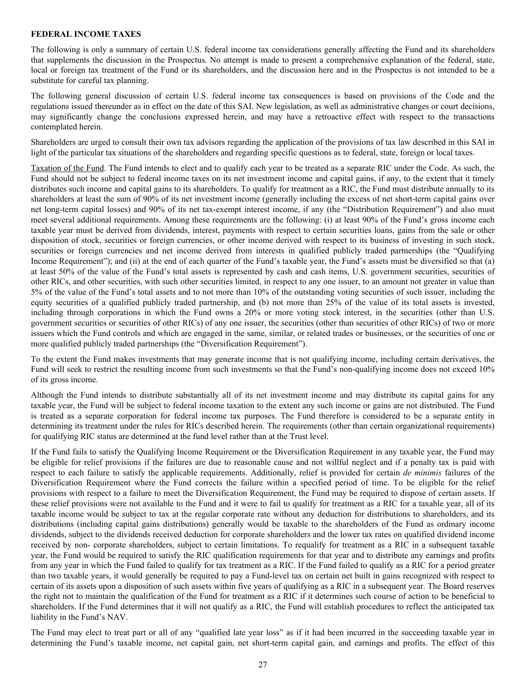### <span id="page-26-0"></span>**FEDERAL INCOME TAXES**

The following is only a summary of certain U.S. federal income tax considerations generally affecting the Fund and its shareholders that supplements the discussion in the Prospectus. No attempt is made to present a comprehensive explanation of the federal, state, local or foreign tax treatment of the Fund or its shareholders, and the discussion here and in the Prospectus is not intended to be a substitute for careful tax planning.

The following general discussion of certain U.S. federal income tax consequences is based on provisions of the Code and the regulations issued thereunder as in effect on the date of this SAI. New legislation, as well as administrative changes or court decisions, may significantly change the conclusions expressed herein, and may have a retroactive effect with respect to the transactions contemplated herein.

Shareholders are urged to consult their own tax advisors regarding the application of the provisions of tax law described in this SAI in light of the particular tax situations of the shareholders and regarding specific questions as to federal, state, foreign or local taxes.

Taxation of the Fund. The Fund intends to elect and to qualify each year to be treated as a separate RIC under the Code. As such, the Fund should not be subject to federal income taxes on its net investment income and capital gains, if any, to the extent that it timely distributes such income and capital gains to its shareholders. To qualify for treatment as a RIC, the Fund must distribute annually to its shareholders at least the sum of 90% of its net investment income (generally including the excess of net short-term capital gains over net long-term capital losses) and 90% of its net tax-exempt interest income, if any (the "Distribution Requirement") and also must meet several additional requirements. Among these requirements are the following: (i) at least 90% of the Fund's gross income each taxable year must be derived from dividends, interest, payments with respect to certain securities loans, gains from the sale or other disposition of stock, securities or foreign currencies, or other income derived with respect to its business of investing in such stock, securities or foreign currencies and net income derived from interests in qualified publicly traded partnerships (the "Qualifying Income Requirement"); and (ii) at the end of each quarter of the Fund's taxable year, the Fund's assets must be diversified so that (a) at least 50% of the value of the Fund's total assets is represented by cash and cash items, U.S. government securities, securities of other RICs, and other securities, with such other securities limited, in respect to any one issuer, to an amount not greater in value than 5% of the value of the Fund's total assets and to not more than 10% of the outstanding voting securities of such issuer, including the equity securities of a qualified publicly traded partnership, and (b) not more than 25% of the value of its total assets is invested, including through corporations in which the Fund owns a 20% or more voting stock interest, in the securities (other than U.S. government securities or securities of other RICs) of any one issuer, the securities (other than securities of other RICs) of two or more issuers which the Fund controls and which are engaged in the same, similar, or related trades or businesses, or the securities of one or more qualified publicly traded partnerships (the "Diversification Requirement").

To the extent the Fund makes investments that may generate income that is not qualifying income, including certain derivatives, the Fund will seek to restrict the resulting income from such investments so that the Fund's non-qualifying income does not exceed 10% of its gross income.

Although the Fund intends to distribute substantially all of its net investment income and may distribute its capital gains for any taxable year, the Fund will be subject to federal income taxation to the extent any such income or gains are not distributed. The Fund is treated as a separate corporation for federal income tax purposes. The Fund therefore is considered to be a separate entity in determining its treatment under the rules for RICs described herein. The requirements (other than certain organizational requirements) for qualifying RIC status are determined at the fund level rather than at the Trust level.

If the Fund fails to satisfy the Qualifying Income Requirement or the Diversification Requirement in any taxable year, the Fund may be eligible for relief provisions if the failures are due to reasonable cause and not willful neglect and if a penalty tax is paid with respect to each failure to satisfy the applicable requirements. Additionally, relief is provided for certain *de minimis* failures of the Diversification Requirement where the Fund corrects the failure within a specified period of time. To be eligible for the relief provisions with respect to a failure to meet the Diversification Requirement, the Fund may be required to dispose of certain assets. If these relief provisions were not available to the Fund and it were to fail to qualify for treatment as a RIC for a taxable year, all of its taxable income would be subject to tax at the regular corporate rate without any deduction for distributions to shareholders, and its distributions (including capital gains distributions) generally would be taxable to the shareholders of the Fund as ordinary income dividends, subject to the dividends received deduction for corporate shareholders and the lower tax rates on qualified dividend income received by non- corporate shareholders, subject to certain limitations. To requalify for treatment as a RIC in a subsequent taxable year, the Fund would be required to satisfy the RIC qualification requirements for that year and to distribute any earnings and profits from any year in which the Fund failed to qualify for tax treatment as a RIC. If the Fund failed to qualify as a RIC for a period greater than two taxable years, it would generally be required to pay a Fund-level tax on certain net built in gains recognized with respect to certain of its assets upon a disposition of such assets within five years of qualifying as a RIC in a subsequent year. The Board reserves the right not to maintain the qualification of the Fund for treatment as a RIC if it determines such course of action to be beneficial to shareholders. If the Fund determines that it will not qualify as a RIC, the Fund will establish procedures to reflect the anticipated tax liability in the Fund's NAV.

The Fund may elect to treat part or all of any "qualified late year loss" as if it had been incurred in the succeeding taxable year in determining the Fund's taxable income, net capital gain, net short-term capital gain, and earnings and profits. The effect of this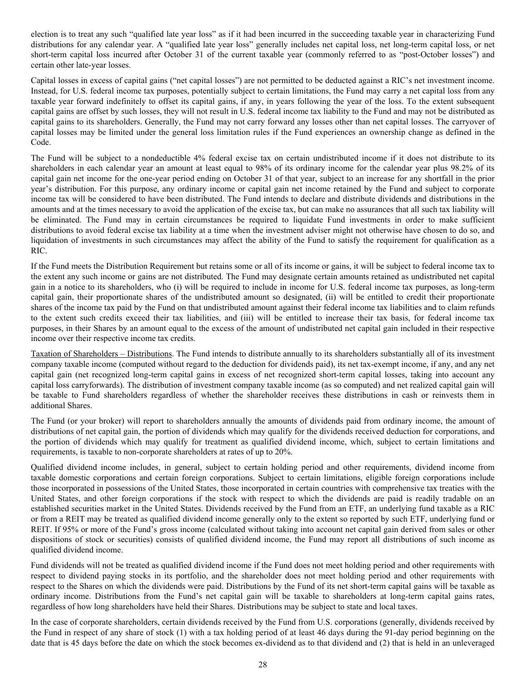election is to treat any such "qualified late year loss" as if it had been incurred in the succeeding taxable year in characterizing Fund distributions for any calendar year. A "qualified late year loss" generally includes net capital loss, net long-term capital loss, or net short-term capital loss incurred after October 31 of the current taxable year (commonly referred to as "post-October losses") and certain other late-year losses.

Capital losses in excess of capital gains ("net capital losses") are not permitted to be deducted against a RIC's net investment income. Instead, for U.S. federal income tax purposes, potentially subject to certain limitations, the Fund may carry a net capital loss from any taxable year forward indefinitely to offset its capital gains, if any, in years following the year of the loss. To the extent subsequent capital gains are offset by such losses, they will not result in U.S. federal income tax liability to the Fund and may not be distributed as capital gains to its shareholders. Generally, the Fund may not carry forward any losses other than net capital losses. The carryover of capital losses may be limited under the general loss limitation rules if the Fund experiences an ownership change as defined in the Code.

The Fund will be subject to a nondeductible 4% federal excise tax on certain undistributed income if it does not distribute to its shareholders in each calendar year an amount at least equal to 98% of its ordinary income for the calendar year plus 98.2% of its capital gain net income for the one-year period ending on October 31 of that year, subject to an increase for any shortfall in the prior year's distribution. For this purpose, any ordinary income or capital gain net income retained by the Fund and subject to corporate income tax will be considered to have been distributed. The Fund intends to declare and distribute dividends and distributions in the amounts and at the times necessary to avoid the application of the excise tax, but can make no assurances that all such tax liability will be eliminated. The Fund may in certain circumstances be required to liquidate Fund investments in order to make sufficient distributions to avoid federal excise tax liability at a time when the investment adviser might not otherwise have chosen to do so, and liquidation of investments in such circumstances may affect the ability of the Fund to satisfy the requirement for qualification as a RIC.

If the Fund meets the Distribution Requirement but retains some or all of its income or gains, it will be subject to federal income tax to the extent any such income or gains are not distributed. The Fund may designate certain amounts retained as undistributed net capital gain in a notice to its shareholders, who (i) will be required to include in income for U.S. federal income tax purposes, as long-term capital gain, their proportionate shares of the undistributed amount so designated, (ii) will be entitled to credit their proportionate shares of the income tax paid by the Fund on that undistributed amount against their federal income tax liabilities and to claim refunds to the extent such credits exceed their tax liabilities, and (iii) will be entitled to increase their tax basis, for federal income tax purposes, in their Shares by an amount equal to the excess of the amount of undistributed net capital gain included in their respective income over their respective income tax credits.

Taxation of Shareholders – Distributions. The Fund intends to distribute annually to its shareholders substantially all of its investment company taxable income (computed without regard to the deduction for dividends paid), its net tax-exempt income, if any, and any net capital gain (net recognized long-term capital gains in excess of net recognized short-term capital losses, taking into account any capital loss carryforwards). The distribution of investment company taxable income (as so computed) and net realized capital gain will be taxable to Fund shareholders regardless of whether the shareholder receives these distributions in cash or reinvests them in additional Shares.

The Fund (or your broker) will report to shareholders annually the amounts of dividends paid from ordinary income, the amount of distributions of net capital gain, the portion of dividends which may qualify for the dividends received deduction for corporations, and the portion of dividends which may qualify for treatment as qualified dividend income, which, subject to certain limitations and requirements, is taxable to non-corporate shareholders at rates of up to 20%.

Qualified dividend income includes, in general, subject to certain holding period and other requirements, dividend income from taxable domestic corporations and certain foreign corporations. Subject to certain limitations, eligible foreign corporations include those incorporated in possessions of the United States, those incorporated in certain countries with comprehensive tax treaties with the United States, and other foreign corporations if the stock with respect to which the dividends are paid is readily tradable on an established securities market in the United States. Dividends received by the Fund from an ETF, an underlying fund taxable as a RIC or from a REIT may be treated as qualified dividend income generally only to the extent so reported by such ETF, underlying fund or REIT. If 95% or more of the Fund's gross income (calculated without taking into account net capital gain derived from sales or other dispositions of stock or securities) consists of qualified dividend income, the Fund may report all distributions of such income as qualified dividend income.

Fund dividends will not be treated as qualified dividend income if the Fund does not meet holding period and other requirements with respect to dividend paying stocks in its portfolio, and the shareholder does not meet holding period and other requirements with respect to the Shares on which the dividends were paid. Distributions by the Fund of its net short-term capital gains will be taxable as ordinary income. Distributions from the Fund's net capital gain will be taxable to shareholders at long-term capital gains rates, regardless of how long shareholders have held their Shares. Distributions may be subject to state and local taxes.

In the case of corporate shareholders, certain dividends received by the Fund from U.S. corporations (generally, dividends received by the Fund in respect of any share of stock (1) with a tax holding period of at least 46 days during the 91-day period beginning on the date that is 45 days before the date on which the stock becomes ex-dividend as to that dividend and (2) that is held in an unleveraged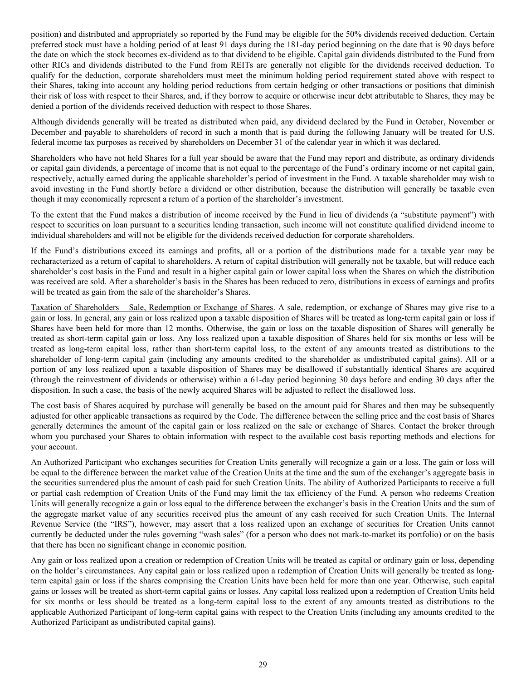position) and distributed and appropriately so reported by the Fund may be eligible for the 50% dividends received deduction. Certain preferred stock must have a holding period of at least 91 days during the 181-day period beginning on the date that is 90 days before the date on which the stock becomes ex-dividend as to that dividend to be eligible. Capital gain dividends distributed to the Fund from other RICs and dividends distributed to the Fund from REITs are generally not eligible for the dividends received deduction. To qualify for the deduction, corporate shareholders must meet the minimum holding period requirement stated above with respect to their Shares, taking into account any holding period reductions from certain hedging or other transactions or positions that diminish their risk of loss with respect to their Shares, and, if they borrow to acquire or otherwise incur debt attributable to Shares, they may be denied a portion of the dividends received deduction with respect to those Shares.

Although dividends generally will be treated as distributed when paid, any dividend declared by the Fund in October, November or December and payable to shareholders of record in such a month that is paid during the following January will be treated for U.S. federal income tax purposes as received by shareholders on December 31 of the calendar year in which it was declared.

Shareholders who have not held Shares for a full year should be aware that the Fund may report and distribute, as ordinary dividends or capital gain dividends, a percentage of income that is not equal to the percentage of the Fund's ordinary income or net capital gain, respectively, actually earned during the applicable shareholder's period of investment in the Fund. A taxable shareholder may wish to avoid investing in the Fund shortly before a dividend or other distribution, because the distribution will generally be taxable even though it may economically represent a return of a portion of the shareholder's investment.

To the extent that the Fund makes a distribution of income received by the Fund in lieu of dividends (a "substitute payment") with respect to securities on loan pursuant to a securities lending transaction, such income will not constitute qualified dividend income to individual shareholders and will not be eligible for the dividends received deduction for corporate shareholders.

If the Fund's distributions exceed its earnings and profits, all or a portion of the distributions made for a taxable year may be recharacterized as a return of capital to shareholders. A return of capital distribution will generally not be taxable, but will reduce each shareholder's cost basis in the Fund and result in a higher capital gain or lower capital loss when the Shares on which the distribution was received are sold. After a shareholder's basis in the Shares has been reduced to zero, distributions in excess of earnings and profits will be treated as gain from the sale of the shareholder's Shares.

Taxation of Shareholders – Sale, Redemption or Exchange of Shares. A sale, redemption, or exchange of Shares may give rise to a gain or loss. In general, any gain or loss realized upon a taxable disposition of Shares will be treated as long-term capital gain or loss if Shares have been held for more than 12 months. Otherwise, the gain or loss on the taxable disposition of Shares will generally be treated as short-term capital gain or loss. Any loss realized upon a taxable disposition of Shares held for six months or less will be treated as long-term capital loss, rather than short-term capital loss, to the extent of any amounts treated as distributions to the shareholder of long-term capital gain (including any amounts credited to the shareholder as undistributed capital gains). All or a portion of any loss realized upon a taxable disposition of Shares may be disallowed if substantially identical Shares are acquired (through the reinvestment of dividends or otherwise) within a 61-day period beginning 30 days before and ending 30 days after the disposition. In such a case, the basis of the newly acquired Shares will be adjusted to reflect the disallowed loss.

The cost basis of Shares acquired by purchase will generally be based on the amount paid for Shares and then may be subsequently adjusted for other applicable transactions as required by the Code. The difference between the selling price and the cost basis of Shares generally determines the amount of the capital gain or loss realized on the sale or exchange of Shares. Contact the broker through whom you purchased your Shares to obtain information with respect to the available cost basis reporting methods and elections for your account.

An Authorized Participant who exchanges securities for Creation Units generally will recognize a gain or a loss. The gain or loss will be equal to the difference between the market value of the Creation Units at the time and the sum of the exchanger's aggregate basis in the securities surrendered plus the amount of cash paid for such Creation Units. The ability of Authorized Participants to receive a full or partial cash redemption of Creation Units of the Fund may limit the tax efficiency of the Fund. A person who redeems Creation Units will generally recognize a gain or loss equal to the difference between the exchanger's basis in the Creation Units and the sum of the aggregate market value of any securities received plus the amount of any cash received for such Creation Units. The Internal Revenue Service (the "IRS"), however, may assert that a loss realized upon an exchange of securities for Creation Units cannot currently be deducted under the rules governing "wash sales" (for a person who does not mark-to-market its portfolio) or on the basis that there has been no significant change in economic position.

Any gain or loss realized upon a creation or redemption of Creation Units will be treated as capital or ordinary gain or loss, depending on the holder's circumstances. Any capital gain or loss realized upon a redemption of Creation Units will generally be treated as longterm capital gain or loss if the shares comprising the Creation Units have been held for more than one year. Otherwise, such capital gains or losses will be treated as short-term capital gains or losses. Any capital loss realized upon a redemption of Creation Units held for six months or less should be treated as a long-term capital loss to the extent of any amounts treated as distributions to the applicable Authorized Participant of long-term capital gains with respect to the Creation Units (including any amounts credited to the Authorized Participant as undistributed capital gains).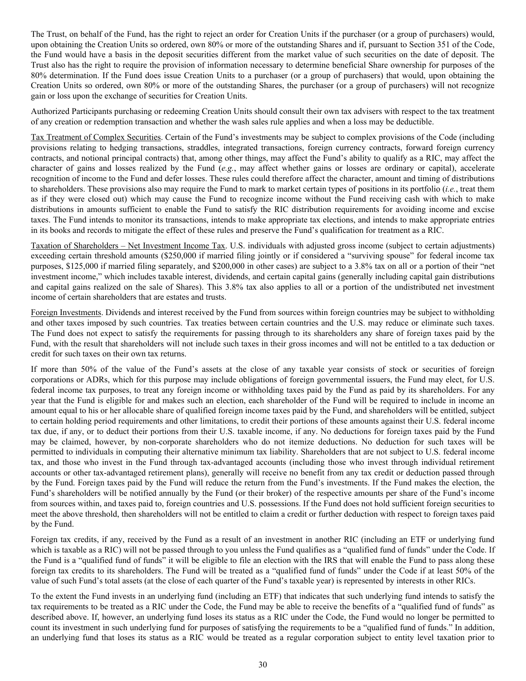The Trust, on behalf of the Fund, has the right to reject an order for Creation Units if the purchaser (or a group of purchasers) would, upon obtaining the Creation Units so ordered, own 80% or more of the outstanding Shares and if, pursuant to Section 351 of the Code, the Fund would have a basis in the deposit securities different from the market value of such securities on the date of deposit. The Trust also has the right to require the provision of information necessary to determine beneficial Share ownership for purposes of the 80% determination. If the Fund does issue Creation Units to a purchaser (or a group of purchasers) that would, upon obtaining the Creation Units so ordered, own 80% or more of the outstanding Shares, the purchaser (or a group of purchasers) will not recognize gain or loss upon the exchange of securities for Creation Units.

Authorized Participants purchasing or redeeming Creation Units should consult their own tax advisers with respect to the tax treatment of any creation or redemption transaction and whether the wash sales rule applies and when a loss may be deductible.

Tax Treatment of Complex Securities. Certain of the Fund's investments may be subject to complex provisions of the Code (including provisions relating to hedging transactions, straddles, integrated transactions, foreign currency contracts, forward foreign currency contracts, and notional principal contracts) that, among other things, may affect the Fund's ability to qualify as a RIC, may affect the character of gains and losses realized by the Fund (*e.g.*, may affect whether gains or losses are ordinary or capital), accelerate recognition of income to the Fund and defer losses. These rules could therefore affect the character, amount and timing of distributions to shareholders. These provisions also may require the Fund to mark to market certain types of positions in its portfolio (*i.e.*, treat them as if they were closed out) which may cause the Fund to recognize income without the Fund receiving cash with which to make distributions in amounts sufficient to enable the Fund to satisfy the RIC distribution requirements for avoiding income and excise taxes. The Fund intends to monitor its transactions, intends to make appropriate tax elections, and intends to make appropriate entries in its books and records to mitigate the effect of these rules and preserve the Fund's qualification for treatment as a RIC.

Taxation of Shareholders – Net Investment Income Tax. U.S. individuals with adjusted gross income (subject to certain adjustments) exceeding certain threshold amounts (\$250,000 if married filing jointly or if considered a "surviving spouse" for federal income tax purposes, \$125,000 if married filing separately, and \$200,000 in other cases) are subject to a 3.8% tax on all or a portion of their "net investment income," which includes taxable interest, dividends, and certain capital gains (generally including capital gain distributions and capital gains realized on the sale of Shares). This 3.8% tax also applies to all or a portion of the undistributed net investment income of certain shareholders that are estates and trusts.

Foreign Investments. Dividends and interest received by the Fund from sources within foreign countries may be subject to withholding and other taxes imposed by such countries. Tax treaties between certain countries and the U.S. may reduce or eliminate such taxes. The Fund does not expect to satisfy the requirements for passing through to its shareholders any share of foreign taxes paid by the Fund, with the result that shareholders will not include such taxes in their gross incomes and will not be entitled to a tax deduction or credit for such taxes on their own tax returns.

If more than 50% of the value of the Fund's assets at the close of any taxable year consists of stock or securities of foreign corporations or ADRs, which for this purpose may include obligations of foreign governmental issuers, the Fund may elect, for U.S. federal income tax purposes, to treat any foreign income or withholding taxes paid by the Fund as paid by its shareholders. For any year that the Fund is eligible for and makes such an election, each shareholder of the Fund will be required to include in income an amount equal to his or her allocable share of qualified foreign income taxes paid by the Fund, and shareholders will be entitled, subject to certain holding period requirements and other limitations, to credit their portions of these amounts against their U.S. federal income tax due, if any, or to deduct their portions from their U.S. taxable income, if any. No deductions for foreign taxes paid by the Fund may be claimed, however, by non-corporate shareholders who do not itemize deductions. No deduction for such taxes will be permitted to individuals in computing their alternative minimum tax liability. Shareholders that are not subject to U.S. federal income tax, and those who invest in the Fund through tax-advantaged accounts (including those who invest through individual retirement accounts or other tax-advantaged retirement plans), generally will receive no benefit from any tax credit or deduction passed through by the Fund. Foreign taxes paid by the Fund will reduce the return from the Fund's investments. If the Fund makes the election, the Fund's shareholders will be notified annually by the Fund (or their broker) of the respective amounts per share of the Fund's income from sources within, and taxes paid to, foreign countries and U.S. possessions. If the Fund does not hold sufficient foreign securities to meet the above threshold, then shareholders will not be entitled to claim a credit or further deduction with respect to foreign taxes paid by the Fund.

Foreign tax credits, if any, received by the Fund as a result of an investment in another RIC (including an ETF or underlying fund which is taxable as a RIC) will not be passed through to you unless the Fund qualifies as a "qualified fund of funds" under the Code. If the Fund is a "qualified fund of funds" it will be eligible to file an election with the IRS that will enable the Fund to pass along these foreign tax credits to its shareholders. The Fund will be treated as a "qualified fund of funds" under the Code if at least 50% of the value of such Fund's total assets (at the close of each quarter of the Fund's taxable year) is represented by interests in other RICs.

To the extent the Fund invests in an underlying fund (including an ETF) that indicates that such underlying fund intends to satisfy the tax requirements to be treated as a RIC under the Code, the Fund may be able to receive the benefits of a "qualified fund of funds" as described above. If, however, an underlying fund loses its status as a RIC under the Code, the Fund would no longer be permitted to count its investment in such underlying fund for purposes of satisfying the requirements to be a "qualified fund of funds." In addition, an underlying fund that loses its status as a RIC would be treated as a regular corporation subject to entity level taxation prior to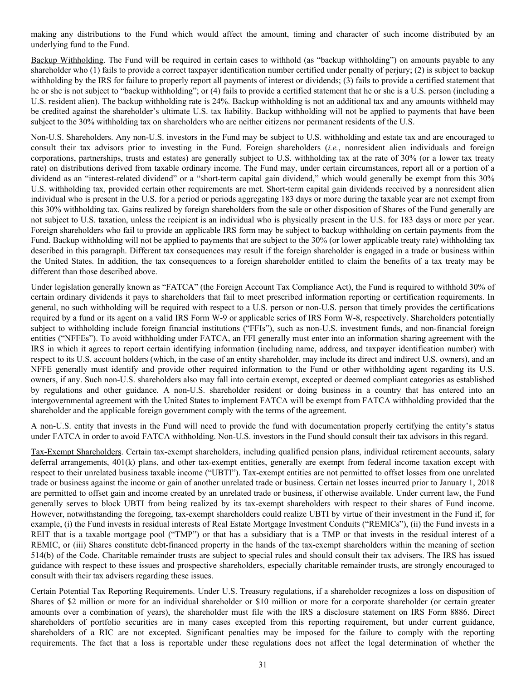making any distributions to the Fund which would affect the amount, timing and character of such income distributed by an underlying fund to the Fund.

Backup Withholding. The Fund will be required in certain cases to withhold (as "backup withholding") on amounts payable to any shareholder who (1) fails to provide a correct taxpayer identification number certified under penalty of perjury; (2) is subject to backup withholding by the IRS for failure to properly report all payments of interest or dividends; (3) fails to provide a certified statement that he or she is not subject to "backup withholding"; or (4) fails to provide a certified statement that he or she is a U.S. person (including a U.S. resident alien). The backup withholding rate is 24%. Backup withholding is not an additional tax and any amounts withheld may be credited against the shareholder's ultimate U.S. tax liability. Backup withholding will not be applied to payments that have been subject to the 30% withholding tax on shareholders who are neither citizens nor permanent residents of the U.S.

Non-U.S. Shareholders. Any non-U.S. investors in the Fund may be subject to U.S. withholding and estate tax and are encouraged to consult their tax advisors prior to investing in the Fund. Foreign shareholders (*i.e.*, nonresident alien individuals and foreign corporations, partnerships, trusts and estates) are generally subject to U.S. withholding tax at the rate of 30% (or a lower tax treaty rate) on distributions derived from taxable ordinary income. The Fund may, under certain circumstances, report all or a portion of a dividend as an "interest-related dividend" or a "short-term capital gain dividend," which would generally be exempt from this 30% U.S. withholding tax, provided certain other requirements are met. Short-term capital gain dividends received by a nonresident alien individual who is present in the U.S. for a period or periods aggregating 183 days or more during the taxable year are not exempt from this 30% withholding tax. Gains realized by foreign shareholders from the sale or other disposition of Shares of the Fund generally are not subject to U.S. taxation, unless the recipient is an individual who is physically present in the U.S. for 183 days or more per year. Foreign shareholders who fail to provide an applicable IRS form may be subject to backup withholding on certain payments from the Fund. Backup withholding will not be applied to payments that are subject to the 30% (or lower applicable treaty rate) withholding tax described in this paragraph. Different tax consequences may result if the foreign shareholder is engaged in a trade or business within the United States. In addition, the tax consequences to a foreign shareholder entitled to claim the benefits of a tax treaty may be different than those described above.

Under legislation generally known as "FATCA" (the Foreign Account Tax Compliance Act), the Fund is required to withhold 30% of certain ordinary dividends it pays to shareholders that fail to meet prescribed information reporting or certification requirements. In general, no such withholding will be required with respect to a U.S. person or non-U.S. person that timely provides the certifications required by a fund or its agent on a valid IRS Form W-9 or applicable series of IRS Form W-8, respectively. Shareholders potentially subject to withholding include foreign financial institutions ("FFIs"), such as non-U.S. investment funds, and non-financial foreign entities ("NFFEs"). To avoid withholding under FATCA, an FFI generally must enter into an information sharing agreement with the IRS in which it agrees to report certain identifying information (including name, address, and taxpayer identification number) with respect to its U.S. account holders (which, in the case of an entity shareholder, may include its direct and indirect U.S. owners), and an NFFE generally must identify and provide other required information to the Fund or other withholding agent regarding its U.S. owners, if any. Such non-U.S. shareholders also may fall into certain exempt, excepted or deemed compliant categories as established by regulations and other guidance. A non-U.S. shareholder resident or doing business in a country that has entered into an intergovernmental agreement with the United States to implement FATCA will be exempt from FATCA withholding provided that the shareholder and the applicable foreign government comply with the terms of the agreement.

A non-U.S. entity that invests in the Fund will need to provide the fund with documentation properly certifying the entity's status under FATCA in order to avoid FATCA withholding. Non-U.S. investors in the Fund should consult their tax advisors in this regard.

Tax-Exempt Shareholders. Certain tax-exempt shareholders, including qualified pension plans, individual retirement accounts, salary deferral arrangements, 401(k) plans, and other tax-exempt entities, generally are exempt from federal income taxation except with respect to their unrelated business taxable income ("UBTI"). Tax-exempt entities are not permitted to offset losses from one unrelated trade or business against the income or gain of another unrelated trade or business. Certain net losses incurred prior to January 1, 2018 are permitted to offset gain and income created by an unrelated trade or business, if otherwise available. Under current law, the Fund generally serves to block UBTI from being realized by its tax-exempt shareholders with respect to their shares of Fund income. However, notwithstanding the foregoing, tax-exempt shareholders could realize UBTI by virtue of their investment in the Fund if, for example, (i) the Fund invests in residual interests of Real Estate Mortgage Investment Conduits ("REMICs"), (ii) the Fund invests in a REIT that is a taxable mortgage pool ("TMP") or that has a subsidiary that is a TMP or that invests in the residual interest of a REMIC, or (iii) Shares constitute debt-financed property in the hands of the tax-exempt shareholders within the meaning of section 514(b) of the Code. Charitable remainder trusts are subject to special rules and should consult their tax advisers. The IRS has issued guidance with respect to these issues and prospective shareholders, especially charitable remainder trusts, are strongly encouraged to consult with their tax advisers regarding these issues.

Certain Potential Tax Reporting Requirements. Under U.S. Treasury regulations, if a shareholder recognizes a loss on disposition of Shares of \$2 million or more for an individual shareholder or \$10 million or more for a corporate shareholder (or certain greater amounts over a combination of years), the shareholder must file with the IRS a disclosure statement on IRS Form 8886. Direct shareholders of portfolio securities are in many cases excepted from this reporting requirement, but under current guidance, shareholders of a RIC are not excepted. Significant penalties may be imposed for the failure to comply with the reporting requirements. The fact that a loss is reportable under these regulations does not affect the legal determination of whether the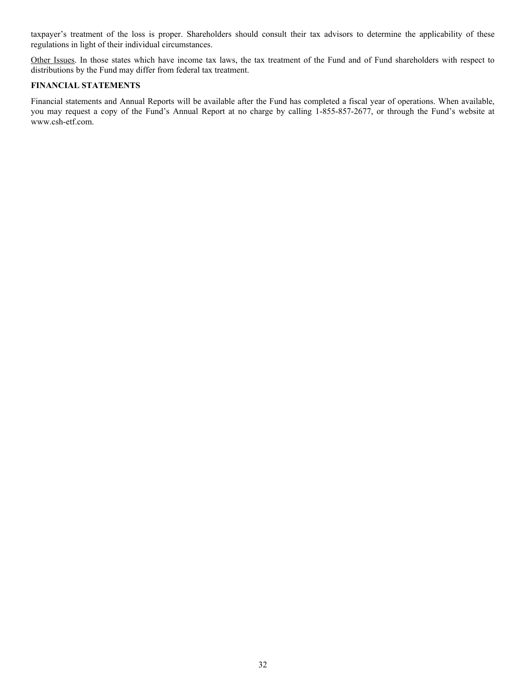<span id="page-31-0"></span>taxpayer's treatment of the loss is proper. Shareholders should consult their tax advisors to determine the applicability of these regulations in light of their individual circumstances.

Other Issues. In those states which have income tax laws, the tax treatment of the Fund and of Fund shareholders with respect to distributions by the Fund may differ from federal tax treatment.

# **FINANCIAL STATEMENTS**

Financial statements and Annual Reports will be available after the Fund has completed a fiscal year of operations. When available, you may request a copy of the Fund's Annual Report at no charge by calling 1-855-857-2677, or through the Fund's website at www.csh-etf.com.